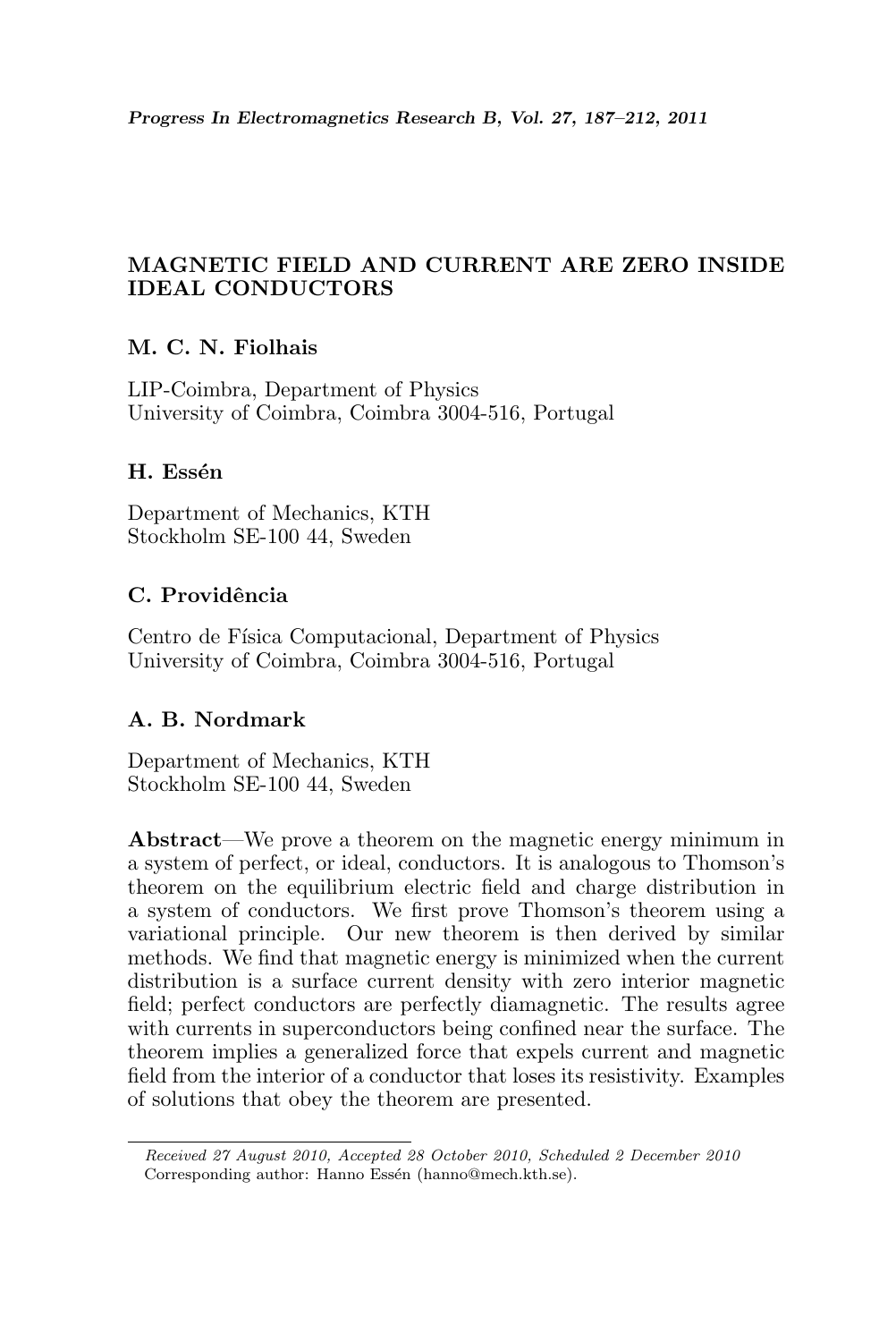# MAGNETIC FIELD AND CURRENT ARE ZERO INSIDE IDEAL CONDUCTORS

## M. C. N. Fiolhais

LIP-Coimbra, Department of Physics University of Coimbra, Coimbra 3004-516, Portugal

# H. Essén

Department of Mechanics, KTH Stockholm SE-100 44, Sweden

# C. Providência

Centro de Física Computacional, Department of Physics University of Coimbra, Coimbra 3004-516, Portugal

# A. B. Nordmark

Department of Mechanics, KTH Stockholm SE-100 44, Sweden

Abstract—We prove a theorem on the magnetic energy minimum in a system of perfect, or ideal, conductors. It is analogous to Thomson's theorem on the equilibrium electric field and charge distribution in a system of conductors. We first prove Thomson's theorem using a variational principle. Our new theorem is then derived by similar methods. We find that magnetic energy is minimized when the current distribution is a surface current density with zero interior magnetic field; perfect conductors are perfectly diamagnetic. The results agree with currents in superconductors being confined near the surface. The theorem implies a generalized force that expels current and magnetic field from the interior of a conductor that loses its resistivity. Examples of solutions that obey the theorem are presented.

Received 27 August 2010, Accepted 28 October 2010, Scheduled 2 December 2010 Corresponding author: Hanno Essén (hanno@mech.kth.se).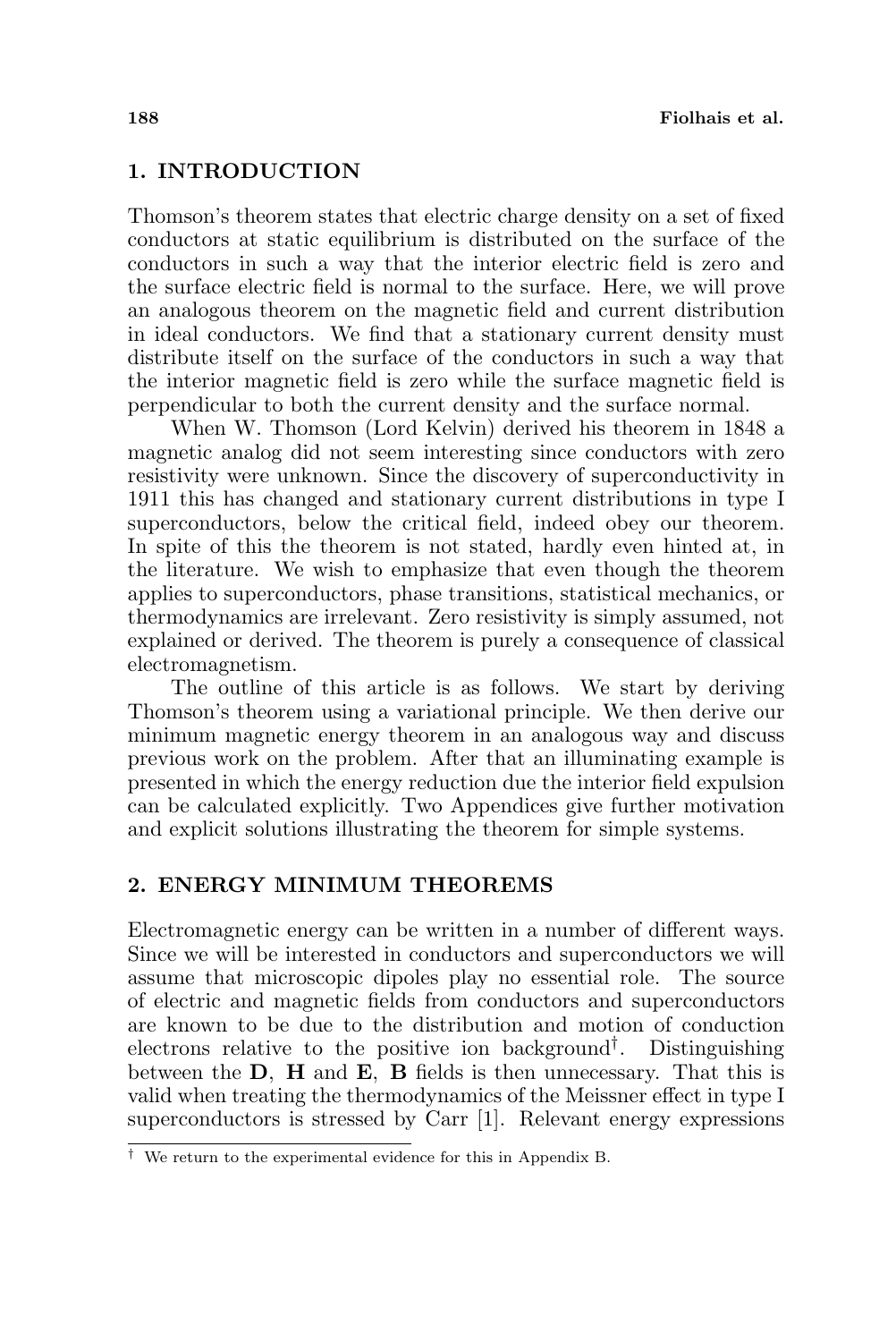## 1. INTRODUCTION

Thomson's theorem states that electric charge density on a set of fixed conductors at static equilibrium is distributed on the surface of the conductors in such a way that the interior electric field is zero and the surface electric field is normal to the surface. Here, we will prove an analogous theorem on the magnetic field and current distribution in ideal conductors. We find that a stationary current density must distribute itself on the surface of the conductors in such a way that the interior magnetic field is zero while the surface magnetic field is perpendicular to both the current density and the surface normal.

When W. Thomson (Lord Kelvin) derived his theorem in 1848 a magnetic analog did not seem interesting since conductors with zero resistivity were unknown. Since the discovery of superconductivity in 1911 this has changed and stationary current distributions in type I superconductors, below the critical field, indeed obey our theorem. In spite of this the theorem is not stated, hardly even hinted at, in the literature. We wish to emphasize that even though the theorem applies to superconductors, phase transitions, statistical mechanics, or thermodynamics are irrelevant. Zero resistivity is simply assumed, not explained or derived. The theorem is purely a consequence of classical electromagnetism.

The outline of this article is as follows. We start by deriving Thomson's theorem using a variational principle. We then derive our minimum magnetic energy theorem in an analogous way and discuss previous work on the problem. After that an illuminating example is presented in which the energy reduction due the interior field expulsion can be calculated explicitly. Two Appendices give further motivation and explicit solutions illustrating the theorem for simple systems.

## 2. ENERGY MINIMUM THEOREMS

Electromagnetic energy can be written in a number of different ways. Since we will be interested in conductors and superconductors we will assume that microscopic dipoles play no essential role. The source of electric and magnetic fields from conductors and superconductors are known to be due to the distribution and motion of conduction electrons relative to the positive ion background† . Distinguishing between the  $D$ ,  $H$  and  $E$ ,  $B$  fields is then unnecessary. That this is valid when treating the thermodynamics of the Meissner effect in type I superconductors is stressed by Carr [1]. Relevant energy expressions

<sup>†</sup> We return to the experimental evidence for this in Appendix B.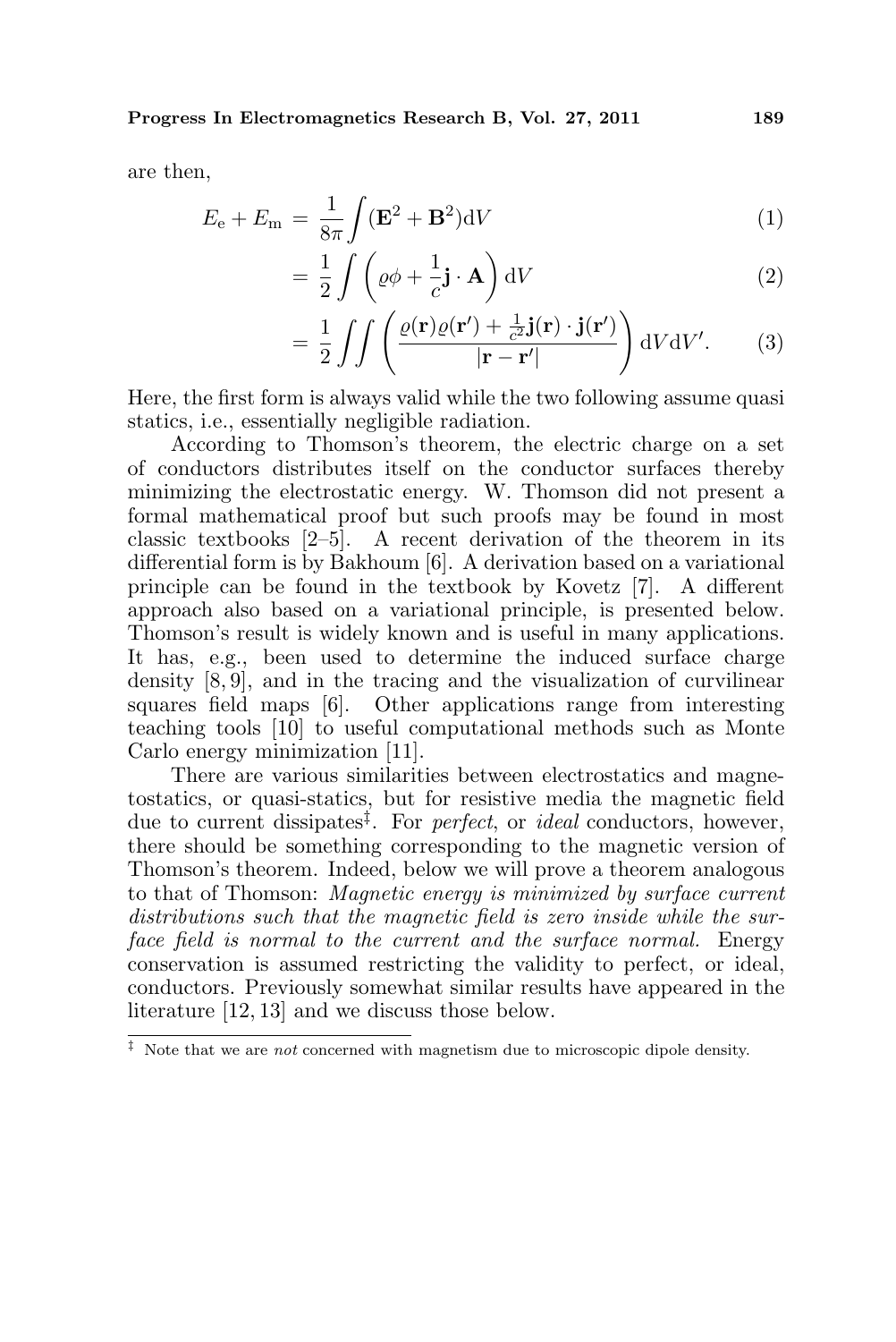Progress In Electromagnetics Research B, Vol. 27, 2011 189

are then,

$$
E_{\rm e} + E_{\rm m} = \frac{1}{8\pi} \int (\mathbf{E}^2 + \mathbf{B}^2) dV
$$
 (1)

$$
= \frac{1}{2} \int \left( \varrho \phi + \frac{1}{c} \mathbf{j} \cdot \mathbf{A} \right) dV \tag{2}
$$

$$
= \frac{1}{2} \int \int \left( \frac{\varrho(\mathbf{r}) \varrho(\mathbf{r}') + \frac{1}{c^2} \mathbf{j}(\mathbf{r}) \cdot \mathbf{j}(\mathbf{r}')}{|\mathbf{r} - \mathbf{r}'|} \right) dV dV'. \tag{3}
$$

Here, the first form is always valid while the two following assume quasi statics, i.e., essentially negligible radiation.

According to Thomson's theorem, the electric charge on a set of conductors distributes itself on the conductor surfaces thereby minimizing the electrostatic energy. W. Thomson did not present a formal mathematical proof but such proofs may be found in most classic textbooks [2–5]. A recent derivation of the theorem in its differential form is by Bakhoum [6]. A derivation based on a variational principle can be found in the textbook by Kovetz [7]. A different approach also based on a variational principle, is presented below. Thomson's result is widely known and is useful in many applications. It has, e.g., been used to determine the induced surface charge density [8, 9], and in the tracing and the visualization of curvilinear squares field maps [6]. Other applications range from interesting teaching tools [10] to useful computational methods such as Monte Carlo energy minimization [11].

There are various similarities between electrostatics and magnetostatics, or quasi-statics, but for resistive media the magnetic field due to current dissipates<sup> $\ddagger$ </sup>. For *perfect*, or *ideal* conductors, however, there should be something corresponding to the magnetic version of Thomson's theorem. Indeed, below we will prove a theorem analogous to that of Thomson: Magnetic energy is minimized by surface current distributions such that the magnetic field is zero inside while the surface field is normal to the current and the surface normal. Energy conservation is assumed restricting the validity to perfect, or ideal, conductors. Previously somewhat similar results have appeared in the literature [12, 13] and we discuss those below.

 $\frac{1}{x}$  Note that we are *not* concerned with magnetism due to microscopic dipole density.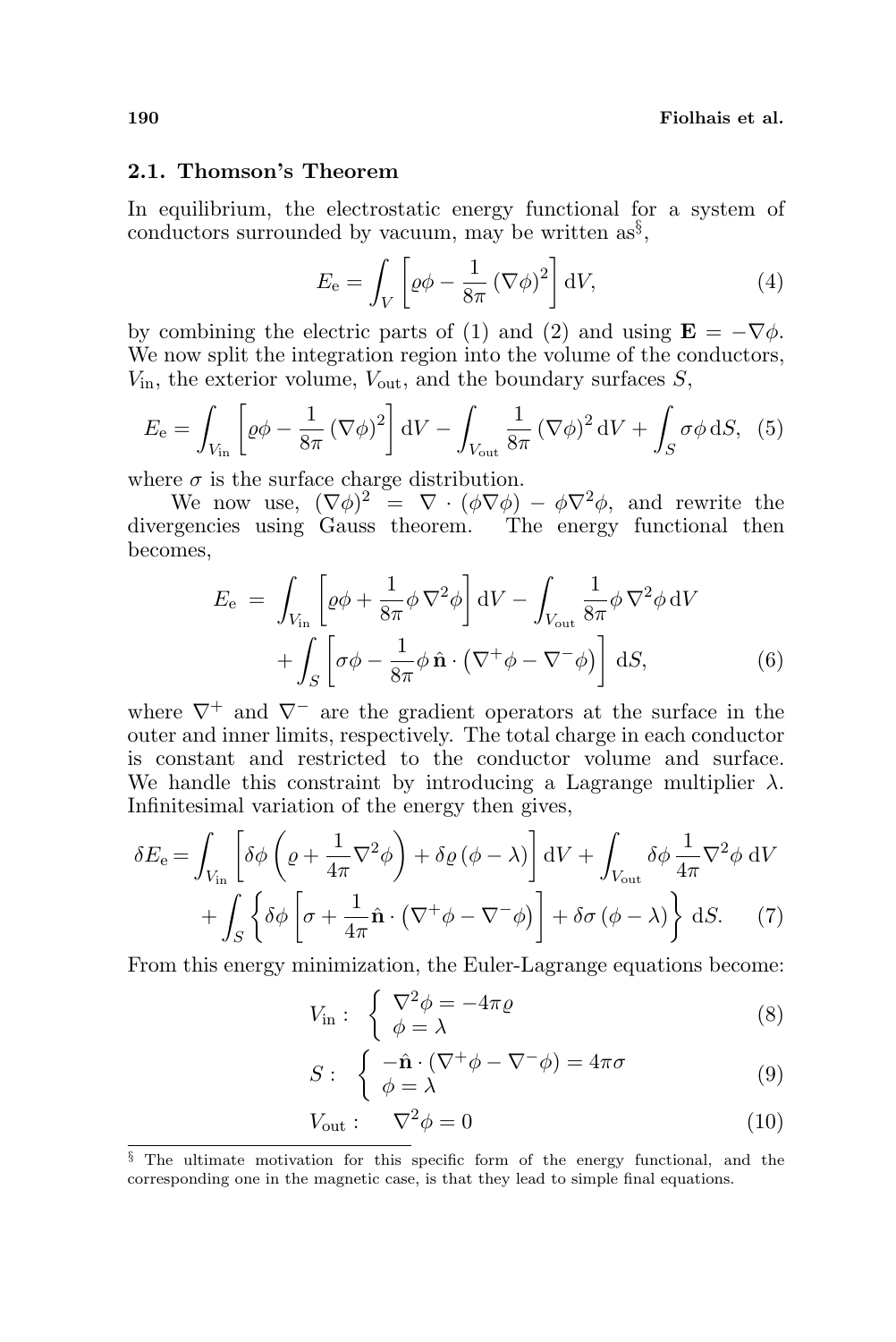## 2.1. Thomson's Theorem

In equilibrium, the electrostatic energy functional for a system of conductors surrounded by vacuum, may be written as  $\S$ ,

$$
E_{\rm e} = \int_{V} \left[ \varrho \phi - \frac{1}{8\pi} \left( \nabla \phi \right)^2 \right] dV, \tag{4}
$$

by combining the electric parts of (1) and (2) and using  $\mathbf{E} = -\nabla \phi$ . We now split the integration region into the volume of the conductors,  $V_{\text{in}}$ , the exterior volume,  $V_{\text{out}}$ , and the boundary surfaces  $S$ ,

$$
E_{\rm e} = \int_{V_{\rm in}} \left[ \varrho \phi - \frac{1}{8\pi} \left( \nabla \phi \right)^2 \right] dV - \int_{V_{\rm out}} \frac{1}{8\pi} \left( \nabla \phi \right)^2 dV + \int_{S} \sigma \phi \, dS, \tag{5}
$$

where  $\sigma$  is the surface charge distribution.

We now use,  $(\nabla \phi)^2 = \nabla \cdot (\phi \nabla \phi) - \phi \nabla^2 \phi$ , and rewrite the divergencies using Gauss theorem. The energy functional then becomes,

$$
E_{\rm e} = \int_{V_{\rm in}} \left[ \varrho \phi + \frac{1}{8\pi} \phi \nabla^2 \phi \right] dV - \int_{V_{\rm out}} \frac{1}{8\pi} \phi \nabla^2 \phi dV
$$

$$
+ \int_{S} \left[ \sigma \phi - \frac{1}{8\pi} \phi \hat{\mathbf{n}} \cdot (\nabla^+ \phi - \nabla^- \phi) \right] dS,
$$
(6)

where  $\nabla^+$  and  $\nabla^-$  are the gradient operators at the surface in the outer and inner limits, respectively. The total charge in each conductor is constant and restricted to the conductor volume and surface. We handle this constraint by introducing a Lagrange multiplier  $\lambda$ . Infinitesimal variation of the energy then gives,

$$
\delta E_{\rm e} = \int_{V_{\rm in}} \left[ \delta \phi \left( \varrho + \frac{1}{4\pi} \nabla^2 \phi \right) + \delta \varrho \left( \phi - \lambda \right) \right] dV + \int_{V_{\rm out}} \delta \phi \frac{1}{4\pi} \nabla^2 \phi dV
$$

$$
+ \int_{S} \left\{ \delta \phi \left[ \sigma + \frac{1}{4\pi} \hat{\mathbf{n}} \cdot \left( \nabla^+ \phi - \nabla^- \phi \right) \right] + \delta \sigma \left( \phi - \lambda \right) \right\} dS. \tag{7}
$$

From this energy minimization, the Euler-Lagrange equations become:

$$
V_{\text{in}}: \begin{cases} \nabla^2 \phi = -4\pi \varrho \\ \phi = \lambda \end{cases}
$$
 (8)

$$
S: \begin{cases} -\hat{\mathbf{n}} \cdot (\nabla^+ \phi - \nabla^- \phi) = 4\pi\sigma \\ \phi = \lambda \end{cases}
$$
(9)

$$
V_{\text{out}}: \quad \nabla^2 \phi = 0 \tag{10}
$$

<sup>§</sup> The ultimate motivation for this specific form of the energy functional, and the corresponding one in the magnetic case, is that they lead to simple final equations.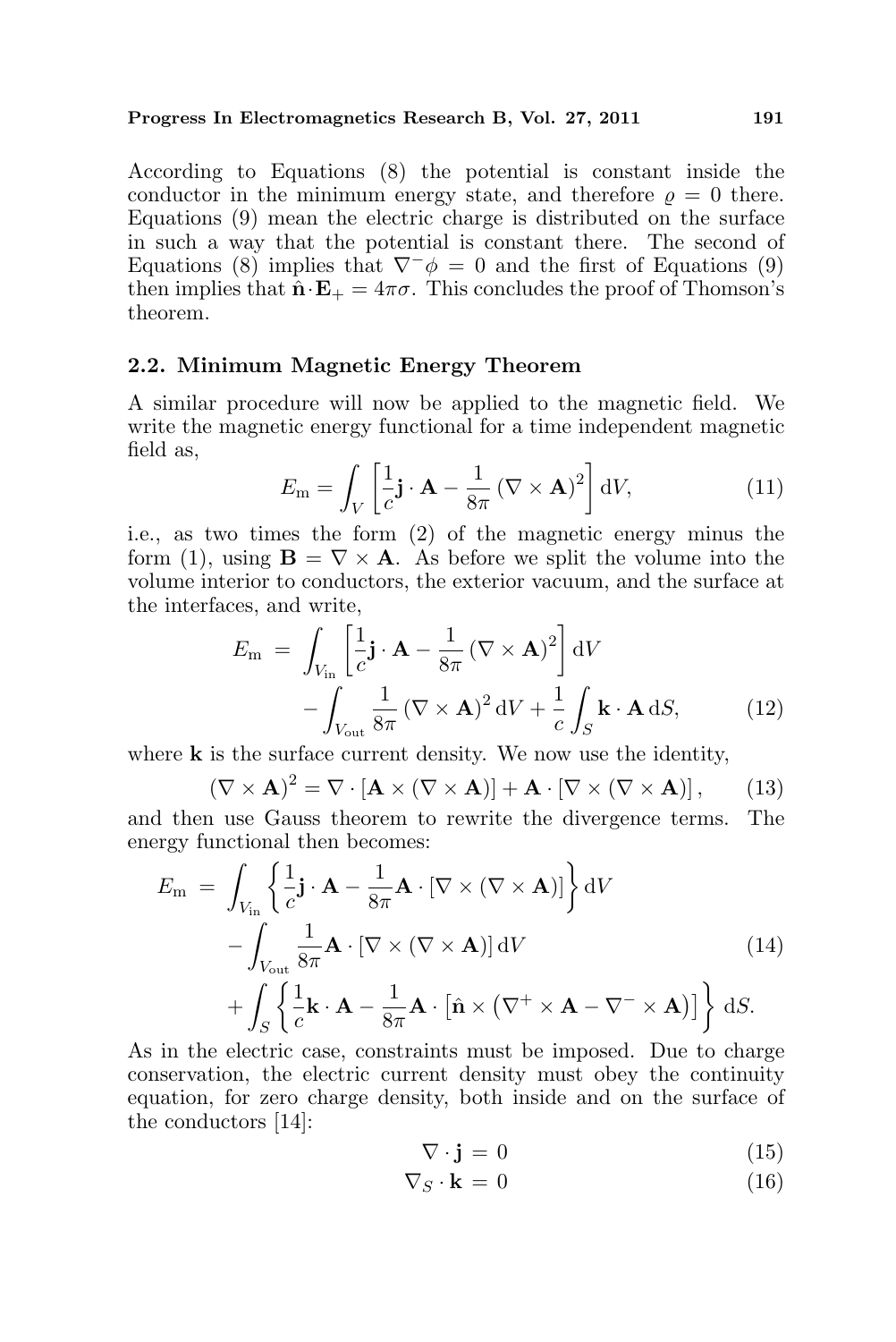#### Progress In Electromagnetics Research B, Vol. 27, 2011 191

According to Equations (8) the potential is constant inside the conductor in the minimum energy state, and therefore  $\rho = 0$  there. Equations (9) mean the electric charge is distributed on the surface in such a way that the potential is constant there. The second of Equations (8) implies that  $\nabla^-\phi = 0$  and the first of Equations (9) then implies that  $\hat{\mathbf{n}} \cdot \mathbf{E}_{+} = 4\pi\sigma$ . This concludes the proof of Thomson's theorem.

## 2.2. Minimum Magnetic Energy Theorem

A similar procedure will now be applied to the magnetic field. We write the magnetic energy functional for a time independent magnetic field as, ·  $\overline{a}$ 

$$
E_{\rm m} = \int_{V} \left[ \frac{1}{c} \mathbf{j} \cdot \mathbf{A} - \frac{1}{8\pi} \left( \nabla \times \mathbf{A} \right)^2 \right] dV, \tag{11}
$$

i.e., as two times the form (2) of the magnetic energy minus the form (1), using  $\mathbf{B} = \nabla \times \mathbf{A}$ . As before we split the volume into the volume interior to conductors, the exterior vacuum, and the surface at the interfaces, and write,  $\overline{a}$ 

$$
E_{\rm m} = \int_{V_{\rm in}} \left[ \frac{1}{c} \mathbf{j} \cdot \mathbf{A} - \frac{1}{8\pi} (\nabla \times \mathbf{A})^2 \right] dV
$$

$$
- \int_{V_{\rm out}} \frac{1}{8\pi} (\nabla \times \mathbf{A})^2 dV + \frac{1}{c} \int_{S} \mathbf{k} \cdot \mathbf{A} dS,
$$
(12)

where  $k$  is the surface current density. We now use the identity,

$$
(\nabla \times \mathbf{A})^2 = \nabla \cdot [\mathbf{A} \times (\nabla \times \mathbf{A})] + \mathbf{A} \cdot [\nabla \times (\nabla \times \mathbf{A})], \quad (13)
$$

and then use Gauss theorem to rewrite the divergence terms. The energy functional then becomes:

$$
E_{\rm m} = \int_{V_{\rm in}} \left\{ \frac{1}{c} \mathbf{j} \cdot \mathbf{A} - \frac{1}{8\pi} \mathbf{A} \cdot [\nabla \times (\nabla \times \mathbf{A})] \right\} dV
$$
  
- 
$$
\int_{V_{\rm out}} \frac{1}{8\pi} \mathbf{A} \cdot [\nabla \times (\nabla \times \mathbf{A})] dV
$$
(14)  
+ 
$$
\int_{S} \left\{ \frac{1}{c} \mathbf{k} \cdot \mathbf{A} - \frac{1}{8\pi} \mathbf{A} \cdot [\hat{\mathbf{n}} \times (\nabla^{+} \times \mathbf{A} - \nabla^{-} \times \mathbf{A})] \right\} dS.
$$

As in the electric case, constraints must be imposed. Due to charge conservation, the electric current density must obey the continuity equation, for zero charge density, both inside and on the surface of the conductors [14]:

$$
\nabla \cdot \mathbf{j} = 0 \tag{15}
$$

$$
\nabla_S \cdot \mathbf{k} = 0 \tag{16}
$$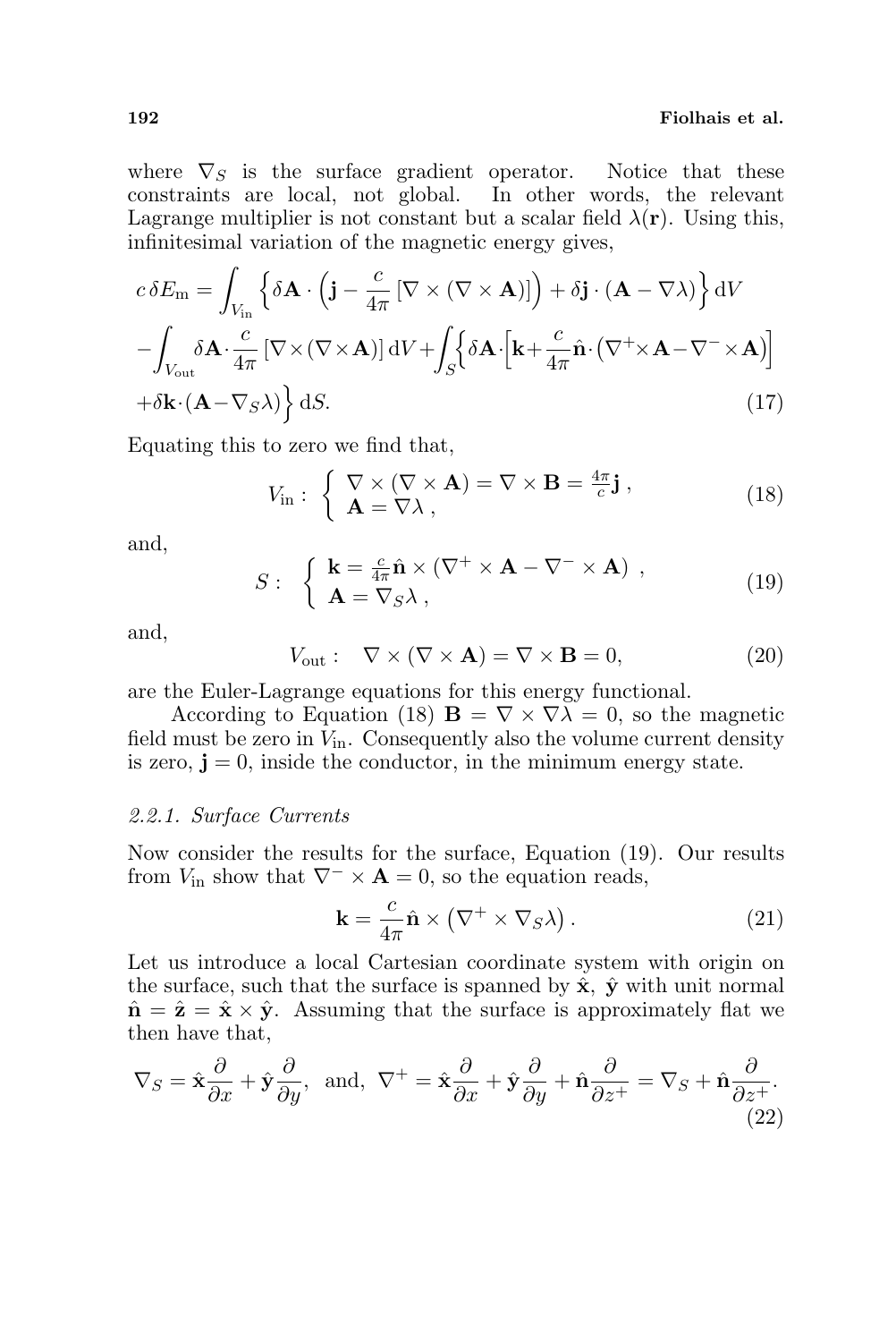where  $\nabla_S$  is the surface gradient operator. Notice that these constraints are local, not global. In other words, the relevant Lagrange multiplier is not constant but a scalar field  $\lambda(\mathbf{r})$ . Using this, infinitesimal variation of the magnetic energy gives,

$$
c \delta E_{\rm m} = \int_{V_{\rm in}} \left\{ \delta \mathbf{A} \cdot \left( \mathbf{j} - \frac{c}{4\pi} \left[ \nabla \times (\nabla \times \mathbf{A}) \right] \right) + \delta \mathbf{j} \cdot (\mathbf{A} - \nabla \lambda) \right\} dV
$$

$$
- \int_{V_{\rm out}} \delta \mathbf{A} \cdot \frac{c}{4\pi} \left[ \nabla \times (\nabla \times \mathbf{A}) \right] dV + \int_{S} \left\{ \delta \mathbf{A} \cdot \left[ \mathbf{k} + \frac{c}{4\pi} \hat{\mathbf{n}} \cdot (\nabla^{+} \times \mathbf{A} - \nabla^{-} \times \mathbf{A}) \right] + \delta \mathbf{k} \cdot (\mathbf{A} - \nabla_{S} \lambda) \right\} dS. \tag{17}
$$

Equating this to zero we find that,

$$
V_{\text{in}}: \begin{cases} \nabla \times (\nabla \times \mathbf{A}) = \nabla \times \mathbf{B} = \frac{4\pi}{c} \mathbf{j} ,\\ \n\mathbf{A} = \nabla \lambda , \end{cases}
$$
(18)

and,

$$
S: \begin{cases} \mathbf{k} = \frac{c}{4\pi} \hat{\mathbf{n}} \times (\nabla^+ \times \mathbf{A} - \nabla^- \times \mathbf{A}) ,\\ \mathbf{A} = \nabla_S \lambda , \end{cases}
$$
(19)

and,

$$
V_{\text{out}}: \quad \nabla \times (\nabla \times \mathbf{A}) = \nabla \times \mathbf{B} = 0,
$$
\n(20)

are the Euler-Lagrange equations for this energy functional.

According to Equation (18)  $\mathbf{B} = \nabla \times \nabla \lambda = 0$ , so the magnetic field must be zero in  $V_{\text{in}}$ . Consequently also the volume current density is zero,  $\mathbf{j} = 0$ , inside the conductor, in the minimum energy state.

### 2.2.1. Surface Currents

Now consider the results for the surface, Equation (19). Our results from  $V_{\text{in}}$  show that  $\nabla^- \times \mathbf{A} = 0$ , so the equation reads,

$$
\mathbf{k} = \frac{c}{4\pi} \hat{\mathbf{n}} \times (\nabla^+ \times \nabla_S \lambda). \tag{21}
$$

Let us introduce a local Cartesian coordinate system with origin on the surface, such that the surface is spanned by  $\hat{\mathbf{x}}$ ,  $\hat{\mathbf{y}}$  with unit normal  $\hat{\mathbf{n}} = \hat{\mathbf{z}} = \hat{\mathbf{x}} \times \hat{\mathbf{y}}$ . Assuming that the surface is approximately flat we then have that,

$$
\nabla_S = \hat{\mathbf{x}} \frac{\partial}{\partial x} + \hat{\mathbf{y}} \frac{\partial}{\partial y}, \text{ and, } \nabla^+ = \hat{\mathbf{x}} \frac{\partial}{\partial x} + \hat{\mathbf{y}} \frac{\partial}{\partial y} + \hat{\mathbf{n}} \frac{\partial}{\partial z^+} = \nabla_S + \hat{\mathbf{n}} \frac{\partial}{\partial z^+}.
$$
\n(22)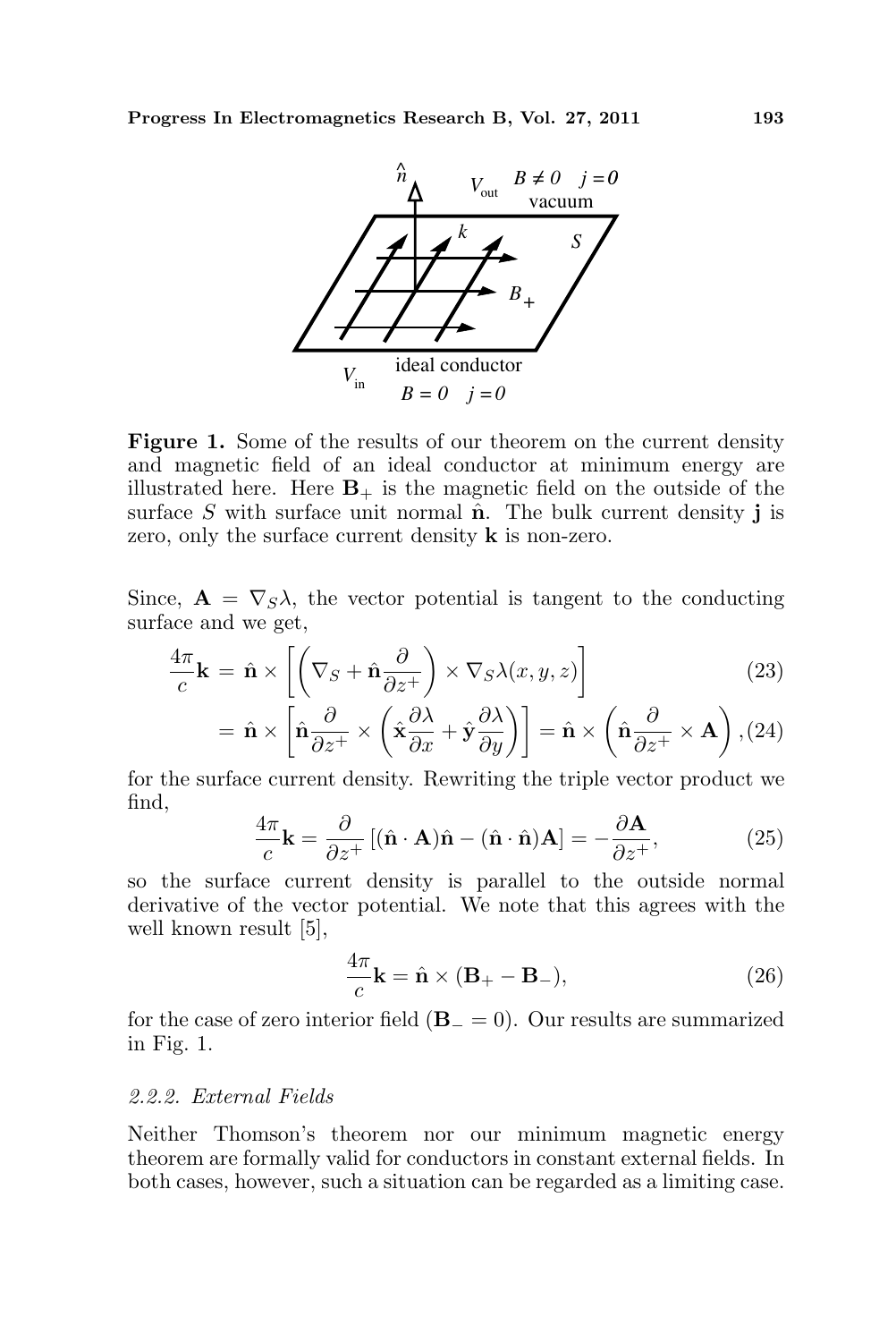

Figure 1. Some of the results of our theorem on the current density and magnetic field of an ideal conductor at minimum energy are illustrated here. Here  $B_+$  is the magnetic field on the outside of the surface  $S$  with surface unit normal  $\hat{\mathbf{n}}$ . The bulk current density j is zero, only the surface current density k is non-zero.

Since,  $\mathbf{A} = \nabla_S \lambda$ , the vector potential is tangent to the conducting surface and we get,

$$
\frac{4\pi}{c}\mathbf{k} = \hat{\mathbf{n}} \times \left[ \left( \nabla_S + \hat{\mathbf{n}} \frac{\partial}{\partial z^+} \right) \times \nabla_S \lambda(x, y, z) \right]
$$
(23)

$$
= \hat{\mathbf{n}} \times \left[ \hat{\mathbf{n}} \frac{\partial}{\partial z^{+}} \times \left( \hat{\mathbf{x}} \frac{\partial \lambda}{\partial x} + \hat{\mathbf{y}} \frac{\partial \lambda}{\partial y} \right) \right] = \hat{\mathbf{n}} \times \left( \hat{\mathbf{n}} \frac{\partial}{\partial z^{+}} \times \mathbf{A} \right), (24)
$$

for the surface current density. Rewriting the triple vector product we find,

$$
\frac{4\pi}{c}\mathbf{k} = \frac{\partial}{\partial z^+} [(\hat{\mathbf{n}} \cdot \mathbf{A})\hat{\mathbf{n}} - (\hat{\mathbf{n}} \cdot \hat{\mathbf{n}})\mathbf{A}] = -\frac{\partial \mathbf{A}}{\partial z^+},
$$
(25)

so the surface current density is parallel to the outside normal derivative of the vector potential. We note that this agrees with the well known result [5],

$$
\frac{4\pi}{c}\mathbf{k} = \hat{\mathbf{n}} \times (\mathbf{B}_{+} - \mathbf{B}_{-}),\tag{26}
$$

for the case of zero interior field  $(\mathbf{B}_{-}=0)$ . Our results are summarized in Fig. 1.

#### 2.2.2. External Fields

Neither Thomson's theorem nor our minimum magnetic energy theorem are formally valid for conductors in constant external fields. In both cases, however, such a situation can be regarded as a limiting case.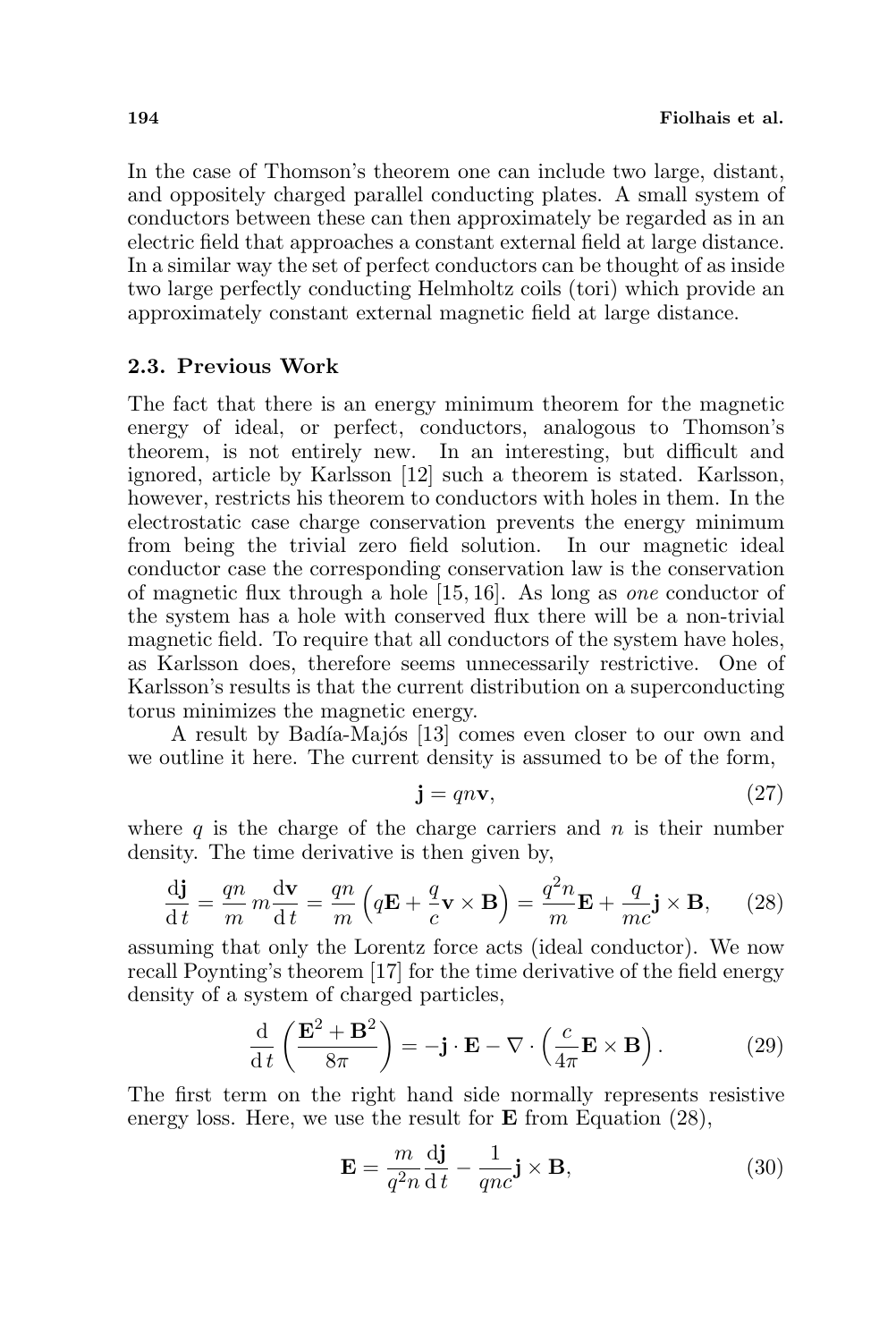In the case of Thomson's theorem one can include two large, distant, and oppositely charged parallel conducting plates. A small system of conductors between these can then approximately be regarded as in an electric field that approaches a constant external field at large distance. In a similar way the set of perfect conductors can be thought of as inside two large perfectly conducting Helmholtz coils (tori) which provide an approximately constant external magnetic field at large distance.

### 2.3. Previous Work

The fact that there is an energy minimum theorem for the magnetic energy of ideal, or perfect, conductors, analogous to Thomson's theorem, is not entirely new. In an interesting, but difficult and ignored, article by Karlsson [12] such a theorem is stated. Karlsson, however, restricts his theorem to conductors with holes in them. In the electrostatic case charge conservation prevents the energy minimum from being the trivial zero field solution. In our magnetic ideal conductor case the corresponding conservation law is the conservation of magnetic flux through a hole [15, 16]. As long as one conductor of the system has a hole with conserved flux there will be a non-trivial magnetic field. To require that all conductors of the system have holes, as Karlsson does, therefore seems unnecessarily restrictive. One of Karlsson's results is that the current distribution on a superconducting torus minimizes the magnetic energy.

A result by Badía-Majós [13] comes even closer to our own and we outline it here. The current density is assumed to be of the form,

$$
\mathbf{j} = qn\mathbf{v},\tag{27}
$$

where  $q$  is the charge of the charge carriers and  $n$  is their number density. The time derivative is then given by,

$$
\frac{\mathrm{d}\mathbf{j}}{\mathrm{d}t} = \frac{qn}{m} m \frac{\mathrm{d}\mathbf{v}}{\mathrm{d}t} = \frac{qn}{m} \left( q\mathbf{E} + \frac{q}{c} \mathbf{v} \times \mathbf{B} \right) = \frac{q^2 n}{m} \mathbf{E} + \frac{q}{mc} \mathbf{j} \times \mathbf{B},\qquad(28)
$$

assuming that only the Lorentz force acts (ideal conductor). We now recall Poynting's theorem [17] for the time derivative of the field energy density of a system of charged particles,

$$
\frac{\mathrm{d}}{\mathrm{d}t} \left( \frac{\mathbf{E}^2 + \mathbf{B}^2}{8\pi} \right) = -\mathbf{j} \cdot \mathbf{E} - \nabla \cdot \left( \frac{c}{4\pi} \mathbf{E} \times \mathbf{B} \right). \tag{29}
$$

The first term on the right hand side normally represents resistive energy loss. Here, we use the result for **E** from Equation (28),

$$
\mathbf{E} = \frac{m}{q^2 n} \frac{\mathrm{d}\mathbf{j}}{\mathrm{d}t} - \frac{1}{qnc} \mathbf{j} \times \mathbf{B},\tag{30}
$$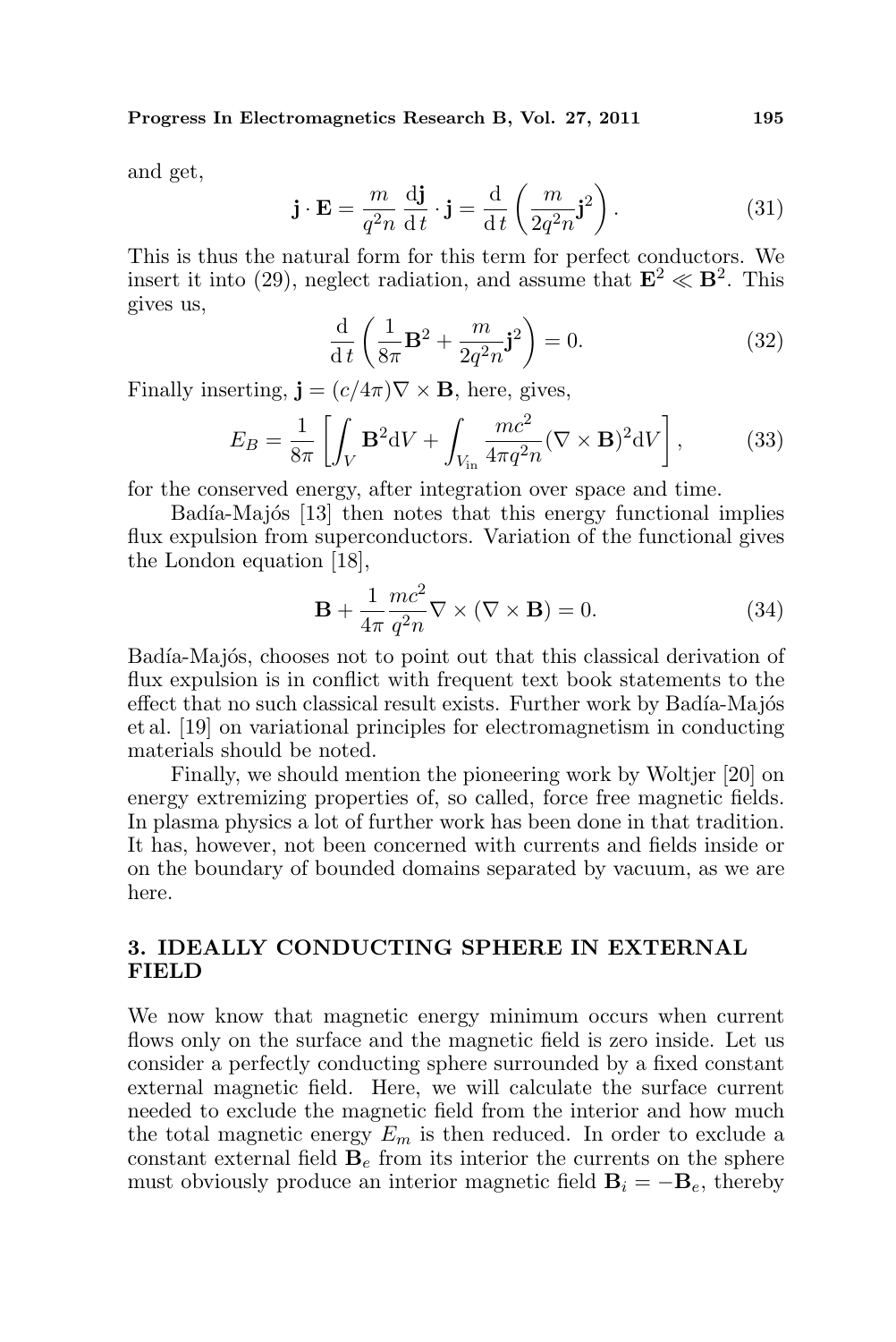Progress In Electromagnetics Research B, Vol. 27, 2011 195

and get,

$$
\mathbf{j} \cdot \mathbf{E} = \frac{m}{q^2 n} \frac{d\mathbf{j}}{dt} \cdot \mathbf{j} = \frac{d}{dt} \left( \frac{m}{2q^2 n} \mathbf{j}^2 \right).
$$
 (31)

This is thus the natural form for this term for perfect conductors. We insert it into (29), neglect radiation, and assume that  $\mathbf{E}^2 \ll \mathbf{B}^2$ . This gives us,  $\overline{a}$  $\mathbf{r}$ 

$$
\frac{\mathrm{d}}{\mathrm{d}t}\left(\frac{1}{8\pi}\mathbf{B}^2 + \frac{m}{2q^2n}\mathbf{j}^2\right) = 0.
$$
 (32)

Finally inserting,  $\mathbf{i} = (c/4\pi)\nabla \times \mathbf{B}$ , here, gives,

$$
E_B = \frac{1}{8\pi} \left[ \int_V \mathbf{B}^2 dV + \int_{V_{\text{in}}} \frac{mc^2}{4\pi q^2 n} (\nabla \times \mathbf{B})^2 dV \right],
$$
 (33)

for the conserved energy, after integration over space and time.

Badía-Majós [13] then notes that this energy functional implies flux expulsion from superconductors. Variation of the functional gives the London equation [18],

$$
\mathbf{B} + \frac{1}{4\pi} \frac{mc^2}{q^2 n} \nabla \times (\nabla \times \mathbf{B}) = 0.
$$
 (34)

Badía-Majós, chooses not to point out that this classical derivation of flux expulsion is in conflict with frequent text book statements to the effect that no such classical result exists. Further work by Badía-Majós et al. [19] on variational principles for electromagnetism in conducting materials should be noted.

Finally, we should mention the pioneering work by Woltjer [20] on energy extremizing properties of, so called, force free magnetic fields. In plasma physics a lot of further work has been done in that tradition. It has, however, not been concerned with currents and fields inside or on the boundary of bounded domains separated by vacuum, as we are here.

## 3. IDEALLY CONDUCTING SPHERE IN EXTERNAL FIELD

We now know that magnetic energy minimum occurs when current flows only on the surface and the magnetic field is zero inside. Let us consider a perfectly conducting sphere surrounded by a fixed constant external magnetic field. Here, we will calculate the surface current needed to exclude the magnetic field from the interior and how much the total magnetic energy  $E_m$  is then reduced. In order to exclude a constant external field  $\overline{B}_e$  from its interior the currents on the sphere must obviously produce an interior magnetic field  $\mathbf{B}_i = -\mathbf{B}_e$ , thereby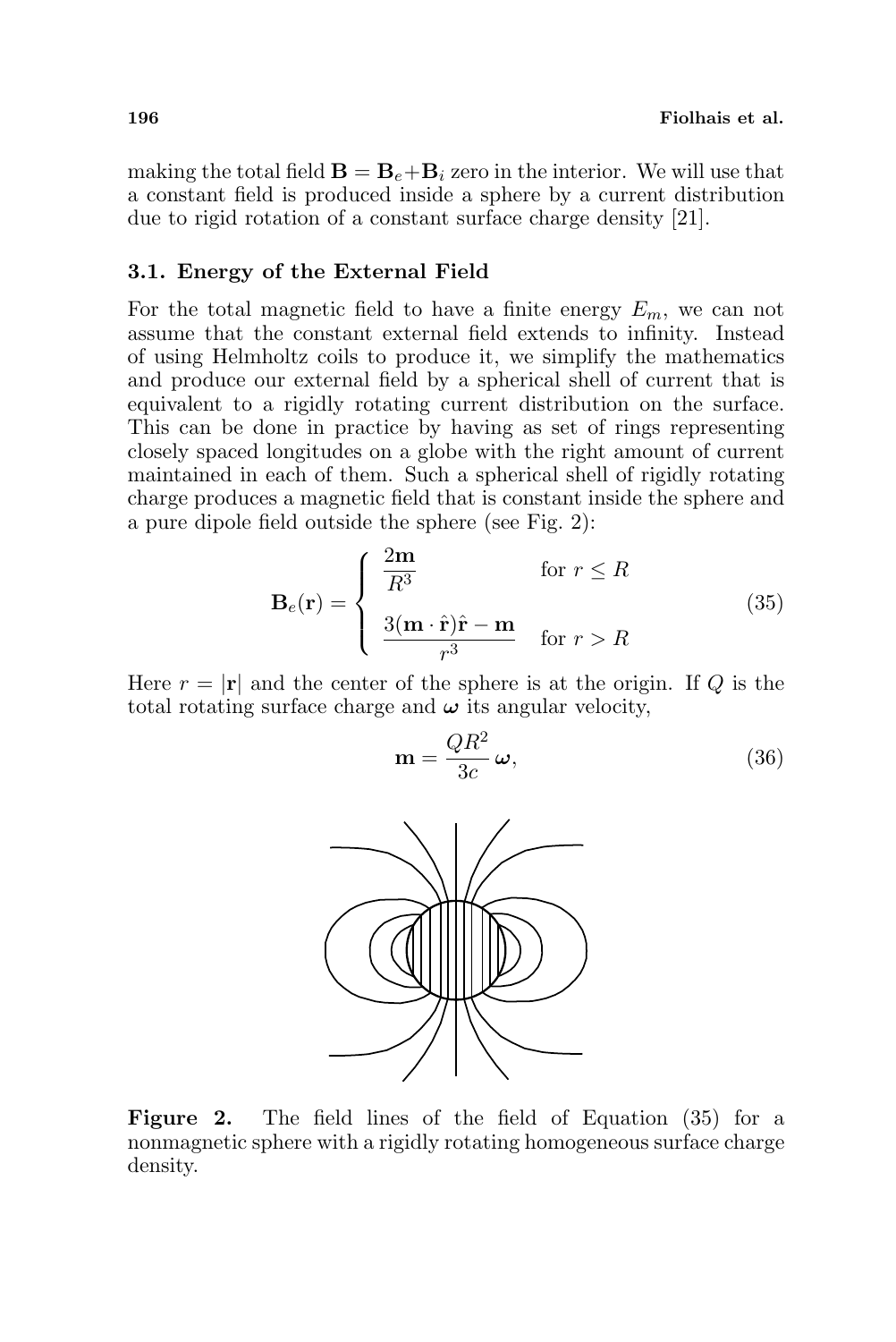making the total field  $\mathbf{B} = \mathbf{B}_e + \mathbf{B}_i$  zero in the interior. We will use that a constant field is produced inside a sphere by a current distribution due to rigid rotation of a constant surface charge density [21].

## 3.1. Energy of the External Field

For the total magnetic field to have a finite energy  $E_m$ , we can not assume that the constant external field extends to infinity. Instead of using Helmholtz coils to produce it, we simplify the mathematics and produce our external field by a spherical shell of current that is equivalent to a rigidly rotating current distribution on the surface. This can be done in practice by having as set of rings representing closely spaced longitudes on a globe with the right amount of current maintained in each of them. Such a spherical shell of rigidly rotating charge produces a magnetic field that is constant inside the sphere and a pure dipole field outside the sphere (see Fig. 2):

$$
\mathbf{B}_{e}(\mathbf{r}) = \begin{cases} \frac{2\mathbf{m}}{R^3} & \text{for } r \le R\\ \frac{3(\mathbf{m} \cdot \hat{\mathbf{r}})\hat{\mathbf{r}} - \mathbf{m}}{r^3} & \text{for } r > R \end{cases}
$$
(35)

Here  $r = |\mathbf{r}|$  and the center of the sphere is at the origin. If Q is the total rotating surface charge and  $\omega$  its angular velocity.

$$
\mathbf{m} = \frac{QR^2}{3c} \,\boldsymbol{\omega},\tag{36}
$$



Figure 2. The field lines of the field of Equation (35) for a nonmagnetic sphere with a rigidly rotating homogeneous surface charge density.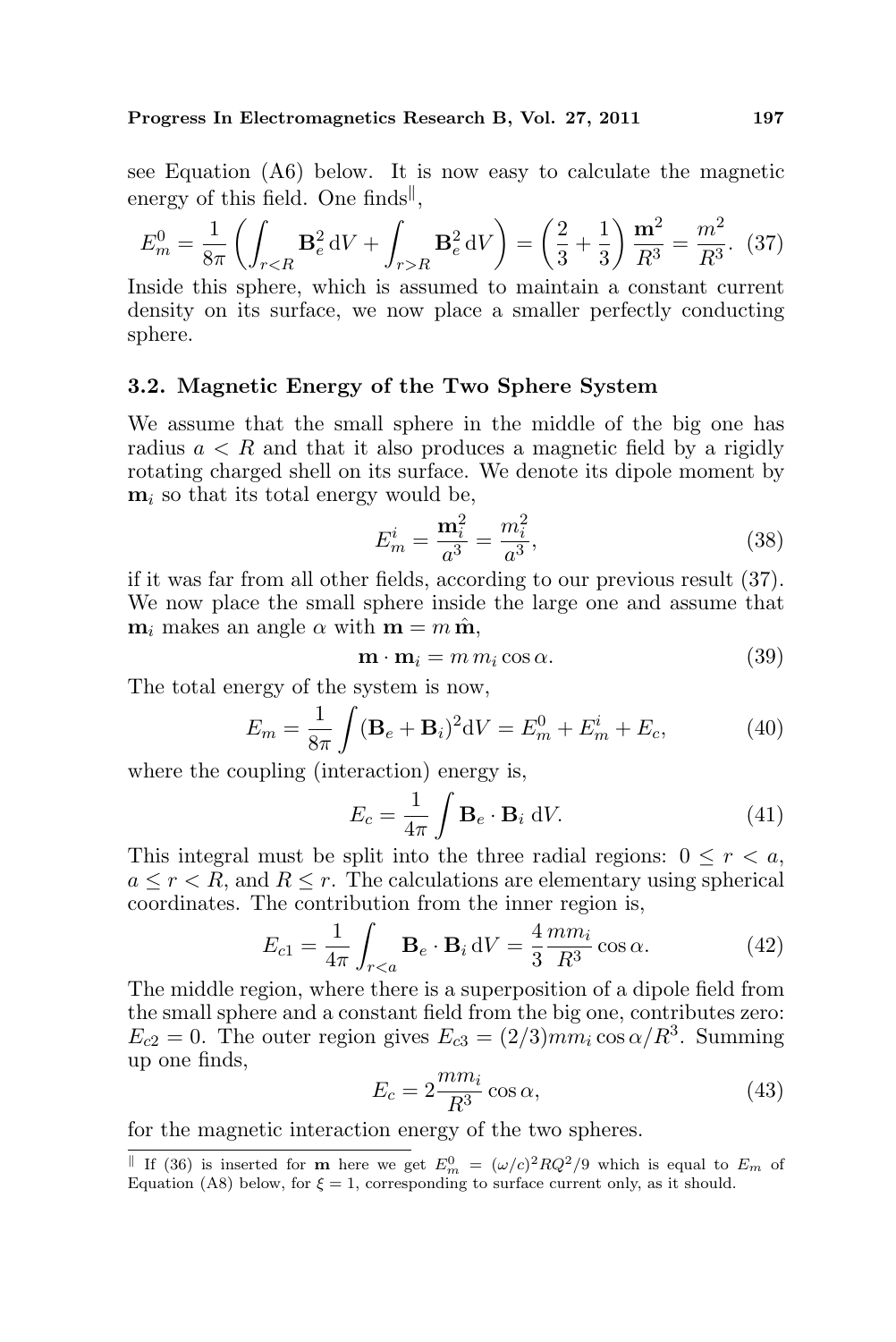see Equation (A6) below. It is now easy to calculate the magnetic energy of this field. One finds<sup> $\parallel$ </sup>,  $\mathbf{r}$  $\overline{a}$  $\mathbf{r}$ 

$$
E_m^0 = \frac{1}{8\pi} \left( \int_{r < R} \mathbf{B}_e^2 \, \mathrm{d}V + \int_{r > R} \mathbf{B}_e^2 \, \mathrm{d}V \right) = \left( \frac{2}{3} + \frac{1}{3} \right) \frac{\mathbf{m}^2}{R^3} = \frac{m^2}{R^3} . \tag{37}
$$

Inside this sphere, which is assumed to maintain a constant current density on its surface, we now place a smaller perfectly conducting sphere.

#### 3.2. Magnetic Energy of the Two Sphere System

We assume that the small sphere in the middle of the big one has radius  $a < R$  and that it also produces a magnetic field by a rigidly rotating charged shell on its surface. We denote its dipole moment by  $m_i$  so that its total energy would be,

$$
E_m^i = \frac{\mathbf{m}_i^2}{a^3} = \frac{m_i^2}{a^3},\tag{38}
$$

if it was far from all other fields, according to our previous result (37). We now place the small sphere inside the large one and assume that  $\mathbf{m}_i$  makes an angle  $\alpha$  with  $\mathbf{m} = m \hat{\mathbf{m}}$ ,

$$
\mathbf{m} \cdot \mathbf{m}_i = m \, m_i \cos \alpha. \tag{39}
$$

The total energy of the system is now,

$$
E_m = \frac{1}{8\pi} \int (\mathbf{B}_e + \mathbf{B}_i)^2 dV = E_m^0 + E_m^i + E_c,
$$
 (40)

where the coupling (interaction) energy is,

$$
E_c = \frac{1}{4\pi} \int \mathbf{B}_e \cdot \mathbf{B}_i \, dV.
$$
 (41)

This integral must be split into the three radial regions:  $0 \leq r < a$ ,  $a \leq r \leq R$ , and  $R \leq r$ . The calculations are elementary using spherical coordinates. The contribution from the inner region is,

$$
E_{c1} = \frac{1}{4\pi} \int_{r < a} \mathbf{B}_e \cdot \mathbf{B}_i \, dV = \frac{4}{3} \frac{mm_i}{R^3} \cos \alpha. \tag{42}
$$

The middle region, where there is a superposition of a dipole field from the small sphere and a constant field from the big one, contributes zero:  $E_{c2} = 0$ . The outer region gives  $E_{c3} = (2/3) m m_i \cos \alpha / R^3$ . Summing up one finds,

$$
E_c = 2\frac{mm_i}{R^3}\cos\alpha,\tag{43}
$$

for the magnetic interaction energy of the two spheres.

If (36) is inserted for **m** here we get  $E_m^0 = (\omega/c)^2 RQ^2/9$  which is equal to  $E_m$  of Equation (A8) below, for  $\xi = 1$ , corresponding to surface current only, as it should.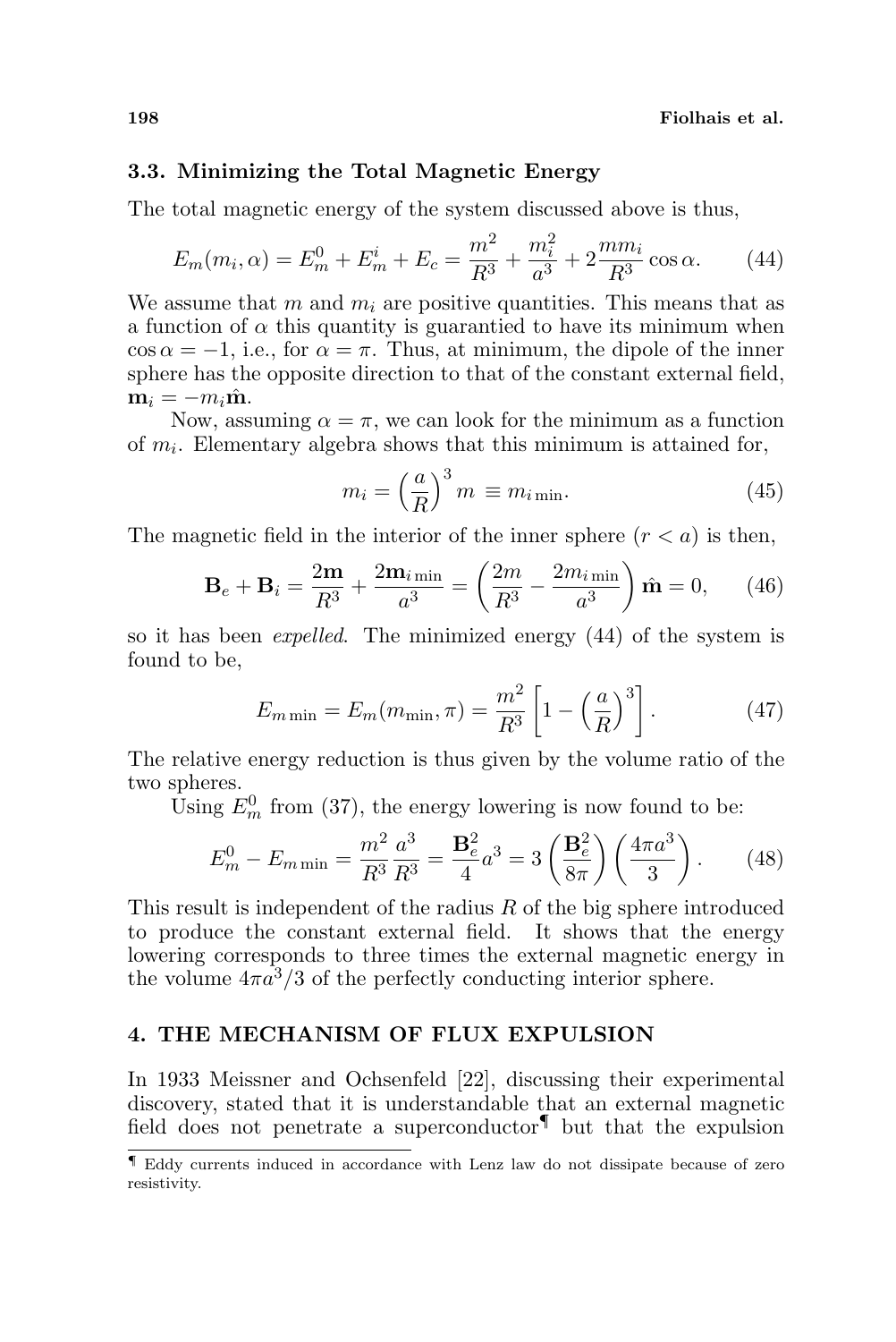#### 3.3. Minimizing the Total Magnetic Energy

The total magnetic energy of the system discussed above is thus,

$$
E_m(m_i, \alpha) = E_m^0 + E_m^i + E_c = \frac{m^2}{R^3} + \frac{m_i^2}{a^3} + 2\frac{mm_i}{R^3}\cos\alpha.
$$
 (44)

We assume that m and  $m_i$  are positive quantities. This means that as a function of  $\alpha$  this quantity is guarantied to have its minimum when  $\cos \alpha = -1$ , i.e., for  $\alpha = \pi$ . Thus, at minimum, the dipole of the inner sphere has the opposite direction to that of the constant external field,  $m_i = -m_i \hat{m}$ .

Now, assuming  $\alpha = \pi$ , we can look for the minimum as a function of  $m_i$ . Elementary algebra shows that this minimum is attained for,

$$
m_i = \left(\frac{a}{R}\right)^3 m \equiv m_{i \min}.
$$
 (45)

The magnetic field in the interior of the inner sphere  $(r < a)$  is then,

$$
\mathbf{B}_e + \mathbf{B}_i = \frac{2\mathbf{m}}{R^3} + \frac{2\mathbf{m}_{i \min}}{a^3} = \left(\frac{2m}{R^3} - \frac{2m_{i \min}}{a^3}\right)\hat{\mathbf{m}} = 0, \qquad (46)
$$

so it has been expelled. The minimized energy (44) of the system is found to be,

$$
E_{m \min} = E_m(m_{\min}, \pi) = \frac{m^2}{R^3} \left[ 1 - \left(\frac{a}{R}\right)^3 \right].
$$
 (47)

The relative energy reduction is thus given by the volume ratio of the two spheres.

Using  $E_m^0$  from (37), the energy lowering is now found to be:

$$
E_m^0 - E_{m \min} = \frac{m^2}{R^3} \frac{a^3}{R^3} = \frac{\mathbf{B}_e^2}{4} a^3 = 3 \left( \frac{\mathbf{B}_e^2}{8\pi} \right) \left( \frac{4\pi a^3}{3} \right). \tag{48}
$$

This result is independent of the radius  $R$  of the big sphere introduced to produce the constant external field. It shows that the energy lowering corresponds to three times the external magnetic energy in the volume  $4\pi a^3/3$  of the perfectly conducting interior sphere.

### 4. THE MECHANISM OF FLUX EXPULSION

In 1933 Meissner and Ochsenfeld [22], discussing their experimental discovery, stated that it is understandable that an external magnetic field does not penetrate a superconductor¶ but that the expulsion

<sup>¶</sup> Eddy currents induced in accordance with Lenz law do not dissipate because of zero resistivity.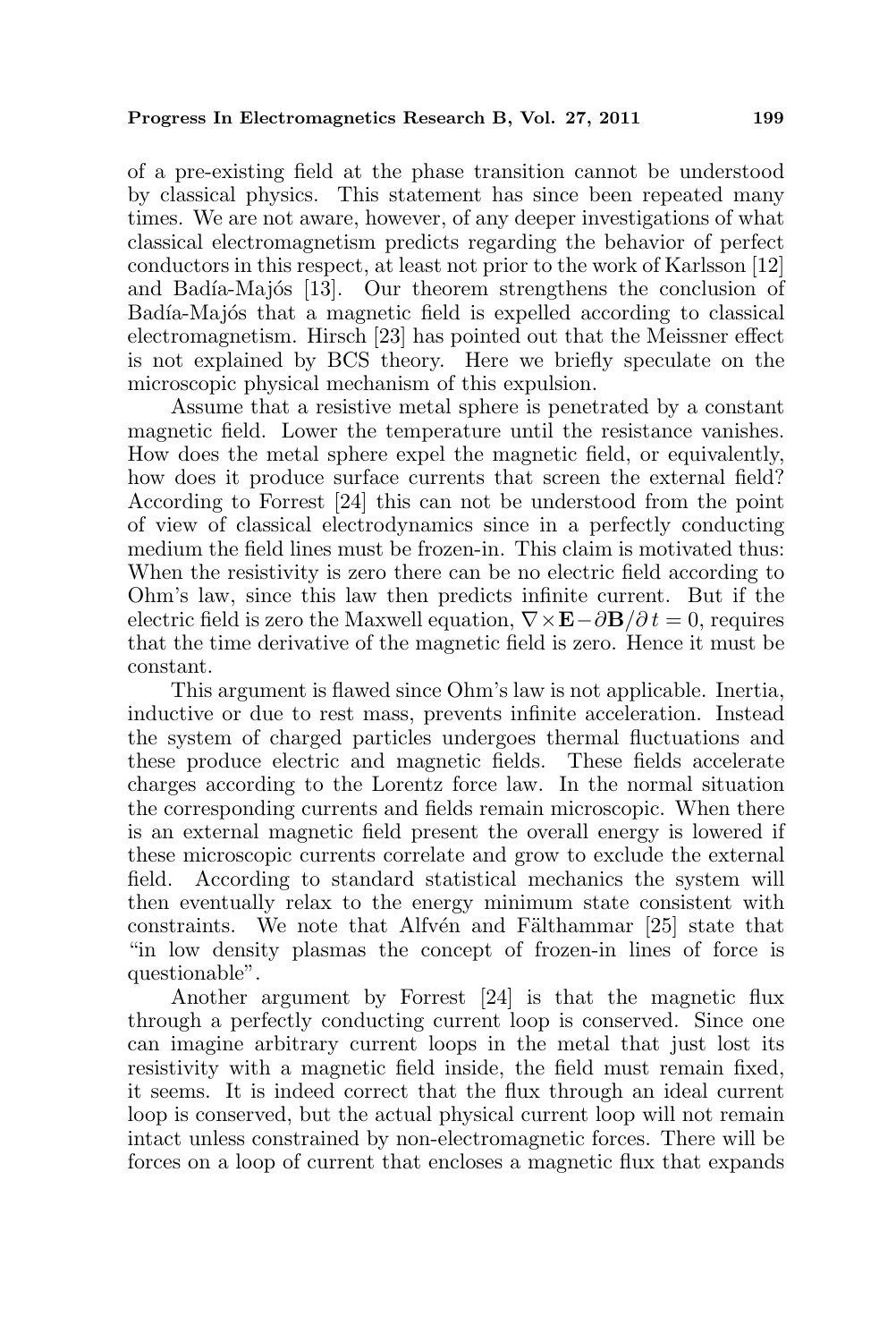of a pre-existing field at the phase transition cannot be understood by classical physics. This statement has since been repeated many times. We are not aware, however, of any deeper investigations of what classical electromagnetism predicts regarding the behavior of perfect conductors in this respect, at least not prior to the work of Karlsson [12] and Badía-Majós [13]. Our theorem strengthens the conclusion of Badía-Majós that a magnetic field is expelled according to classical electromagnetism. Hirsch [23] has pointed out that the Meissner effect is not explained by BCS theory. Here we briefly speculate on the microscopic physical mechanism of this expulsion.

Assume that a resistive metal sphere is penetrated by a constant magnetic field. Lower the temperature until the resistance vanishes. How does the metal sphere expel the magnetic field, or equivalently, how does it produce surface currents that screen the external field? According to Forrest [24] this can not be understood from the point of view of classical electrodynamics since in a perfectly conducting medium the field lines must be frozen-in. This claim is motivated thus: When the resistivity is zero there can be no electric field according to Ohm's law, since this law then predicts infinite current. But if the electric field is zero the Maxwell equation,  $\nabla \times \mathbf{E} - \partial \mathbf{B}/\partial t = 0$ , requires that the time derivative of the magnetic field is zero. Hence it must be constant.

This argument is flawed since Ohm's law is not applicable. Inertia, inductive or due to rest mass, prevents infinite acceleration. Instead the system of charged particles undergoes thermal fluctuations and these produce electric and magnetic fields. These fields accelerate charges according to the Lorentz force law. In the normal situation the corresponding currents and fields remain microscopic. When there is an external magnetic field present the overall energy is lowered if these microscopic currents correlate and grow to exclude the external field. According to standard statistical mechanics the system will then eventually relax to the energy minimum state consistent with constraints. We note that Alfv $\acute{e}$ n and Fälthammar [25] state that "in low density plasmas the concept of frozen-in lines of force is questionable".

Another argument by Forrest [24] is that the magnetic flux through a perfectly conducting current loop is conserved. Since one can imagine arbitrary current loops in the metal that just lost its resistivity with a magnetic field inside, the field must remain fixed, it seems. It is indeed correct that the flux through an ideal current loop is conserved, but the actual physical current loop will not remain intact unless constrained by non-electromagnetic forces. There will be forces on a loop of current that encloses a magnetic flux that expands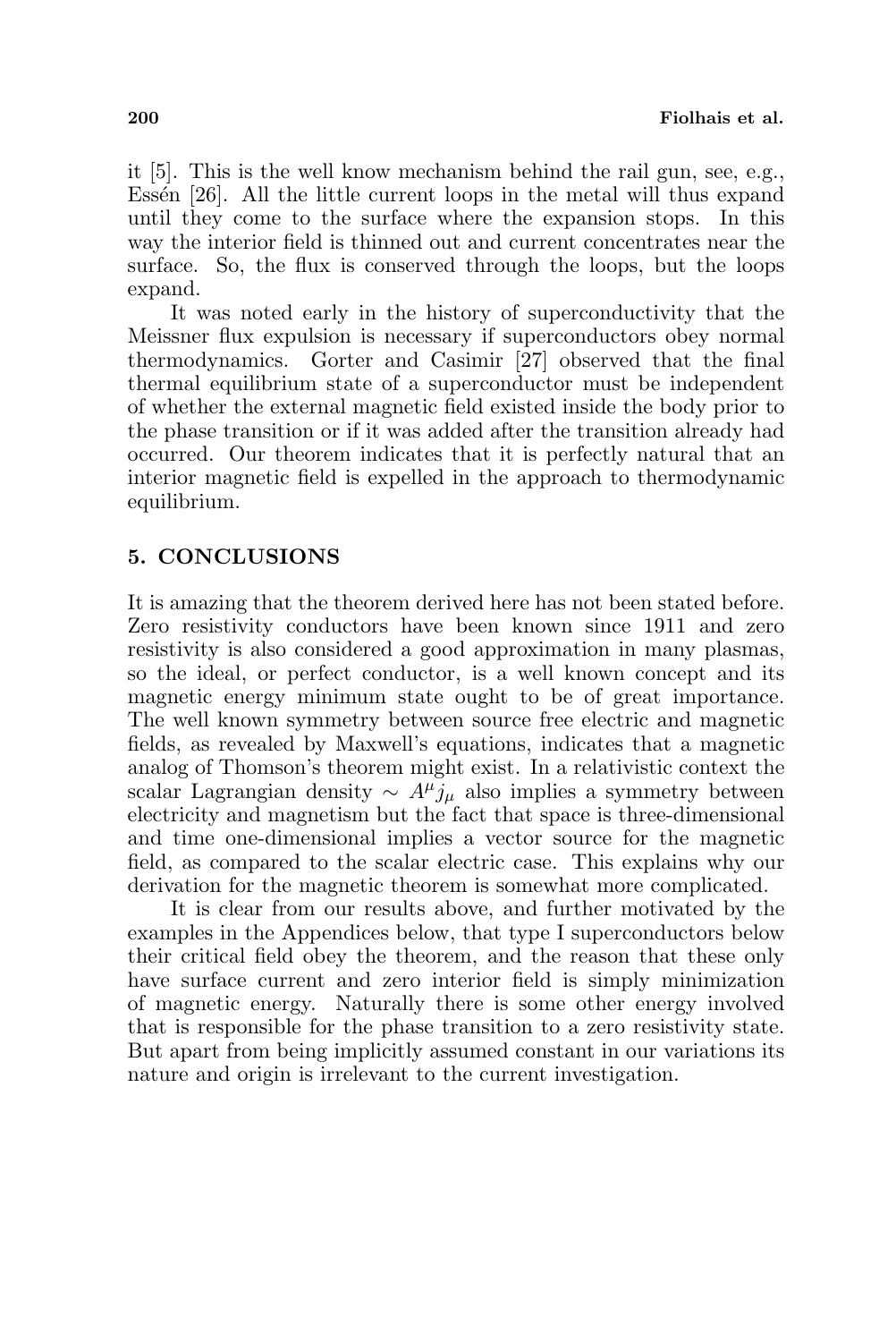it [5]. This is the well know mechanism behind the rail gun, see, e.g., Essén [26]. All the little current loops in the metal will thus expand until they come to the surface where the expansion stops. In this way the interior field is thinned out and current concentrates near the surface. So, the flux is conserved through the loops, but the loops expand.

It was noted early in the history of superconductivity that the Meissner flux expulsion is necessary if superconductors obey normal thermodynamics. Gorter and Casimir [27] observed that the final thermal equilibrium state of a superconductor must be independent of whether the external magnetic field existed inside the body prior to the phase transition or if it was added after the transition already had occurred. Our theorem indicates that it is perfectly natural that an interior magnetic field is expelled in the approach to thermodynamic equilibrium.

## 5. CONCLUSIONS

It is amazing that the theorem derived here has not been stated before. Zero resistivity conductors have been known since 1911 and zero resistivity is also considered a good approximation in many plasmas, so the ideal, or perfect conductor, is a well known concept and its magnetic energy minimum state ought to be of great importance. The well known symmetry between source free electric and magnetic fields, as revealed by Maxwell's equations, indicates that a magnetic analog of Thomson's theorem might exist. In a relativistic context the scalar Lagrangian density  $\sim A^{\mu}j_{\mu}$  also implies a symmetry between electricity and magnetism but the fact that space is three-dimensional and time one-dimensional implies a vector source for the magnetic field, as compared to the scalar electric case. This explains why our derivation for the magnetic theorem is somewhat more complicated.

It is clear from our results above, and further motivated by the examples in the Appendices below, that type I superconductors below their critical field obey the theorem, and the reason that these only have surface current and zero interior field is simply minimization of magnetic energy. Naturally there is some other energy involved that is responsible for the phase transition to a zero resistivity state. But apart from being implicitly assumed constant in our variations its nature and origin is irrelevant to the current investigation.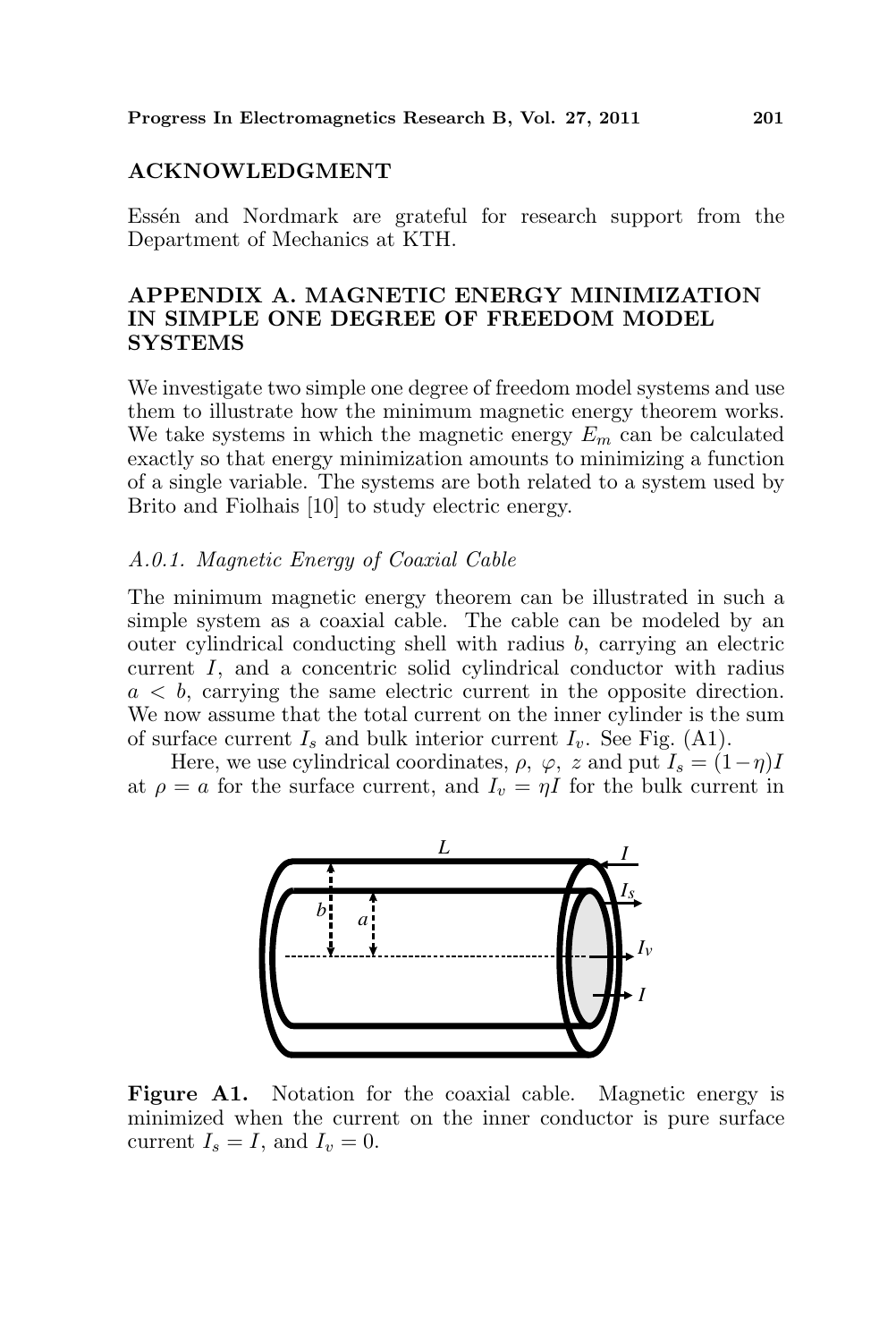### ACKNOWLEDGMENT

Essen and Nordmark are grateful for research support from the Department of Mechanics at KTH.

## APPENDIX A. MAGNETIC ENERGY MINIMIZATION IN SIMPLE ONE DEGREE OF FREEDOM MODEL **SYSTEMS**

We investigate two simple one degree of freedom model systems and use them to illustrate how the minimum magnetic energy theorem works. We take systems in which the magnetic energy  $E_m$  can be calculated exactly so that energy minimization amounts to minimizing a function of a single variable. The systems are both related to a system used by Brito and Fiolhais [10] to study electric energy.

### A.0.1. Magnetic Energy of Coaxial Cable

The minimum magnetic energy theorem can be illustrated in such a simple system as a coaxial cable. The cable can be modeled by an outer cylindrical conducting shell with radius b, carrying an electric current I, and a concentric solid cylindrical conductor with radius  $a < b$ , carrying the same electric current in the opposite direction. We now assume that the total current on the inner cylinder is the sum of surface current  $I_s$  and bulk interior current  $I_v$ . See Fig. (A1).

Here, we use cylindrical coordinates,  $\rho$ ,  $\varphi$ , z and put  $I_s = (1 - \eta)I$ at  $\rho = a$  for the surface current, and  $I_v = \eta I$  for the bulk current in



Figure A1. Notation for the coaxial cable. Magnetic energy is minimized when the current on the inner conductor is pure surface current  $I_s = I$ , and  $I_v = 0$ .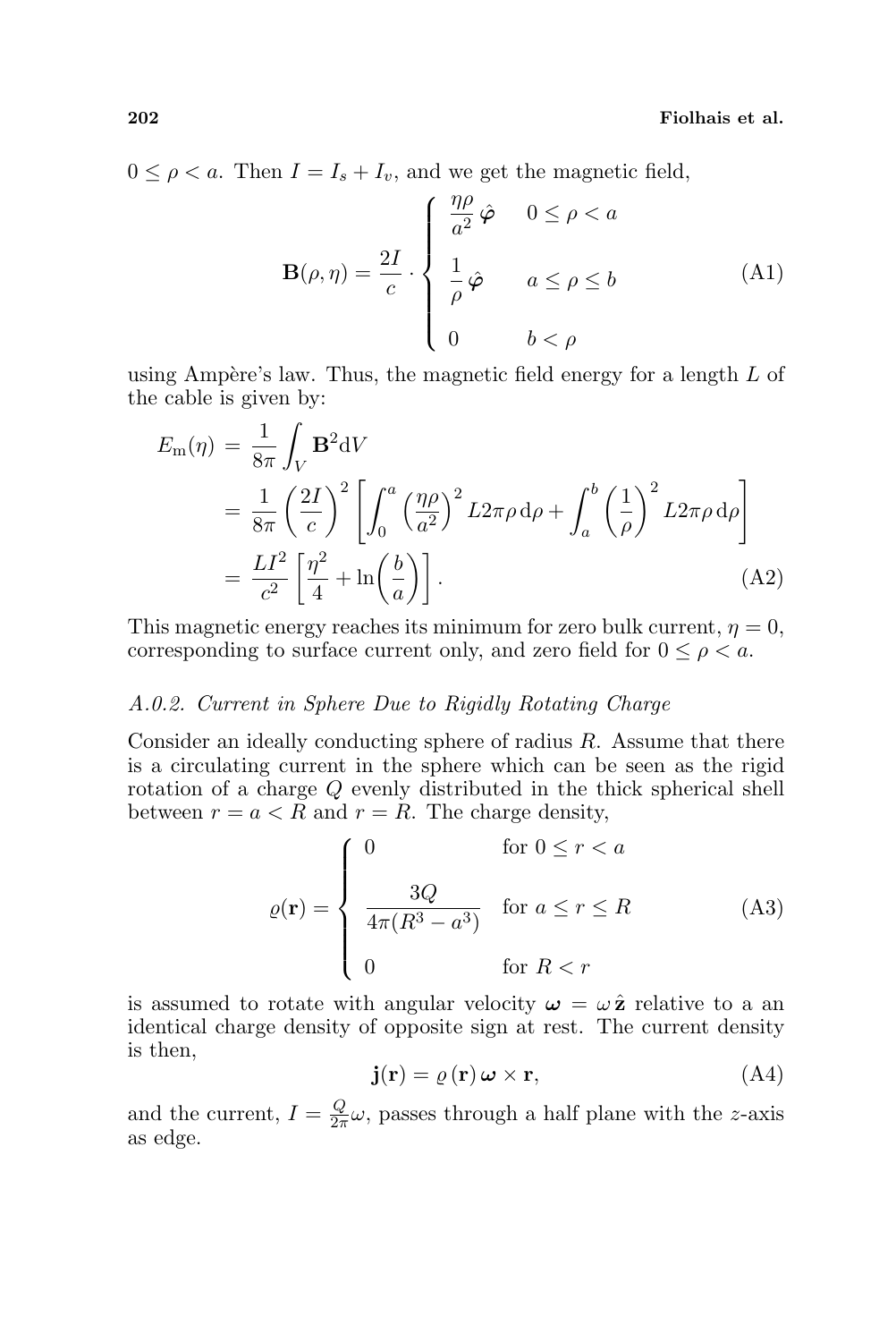$0 \leq \rho < a$ . Then  $I = I_s + I_v$ , and we get the magnetic field,

$$
\mathbf{B}(\rho,\eta) = \frac{2I}{c} \cdot \begin{cases} \frac{\eta \rho}{a^2} \hat{\varphi} & 0 \le \rho < a \\ \frac{1}{\rho} \hat{\varphi} & a \le \rho \le b \\ 0 & b < \rho \end{cases}
$$
(A1)

using Ampère's law. Thus, the magnetic field energy for a length  $L$  of the cable is given by:

$$
E_{\rm m}(\eta) = \frac{1}{8\pi} \int_{V} \mathbf{B}^{2} dV
$$
  
= 
$$
\frac{1}{8\pi} \left(\frac{2I}{c}\right)^{2} \left[ \int_{0}^{a} \left(\frac{\eta \rho}{a^{2}}\right)^{2} L 2\pi \rho d\rho + \int_{a}^{b} \left(\frac{1}{\rho}\right)^{2} L 2\pi \rho d\rho \right]
$$
  
= 
$$
\frac{LI^{2}}{c^{2}} \left[ \frac{\eta^{2}}{4} + \ln\left(\frac{b}{a}\right) \right].
$$
 (A2)

This magnetic energy reaches its minimum for zero bulk current,  $\eta = 0$ , corresponding to surface current only, and zero field for  $0 \leq \rho < a$ .

## A.0.2. Current in Sphere Due to Rigidly Rotating Charge

Consider an ideally conducting sphere of radius R. Assume that there is a circulating current in the sphere which can be seen as the rigid rotation of a charge Q evenly distributed in the thick spherical shell between  $r = a < R$  and  $r = R$ . The charge density,

$$
\varrho(\mathbf{r}) = \begin{cases}\n0 & \text{for } 0 \le r < a \\
\frac{3Q}{4\pi (R^3 - a^3)} & \text{for } a \le r \le R \\
0 & \text{for } R < r\n\end{cases}
$$
\n(A3)

is assumed to rotate with angular velocity  $\omega = \omega \hat{z}$  relative to a an identical charge density of opposite sign at rest. The current density is then,

$$
\mathbf{j}(\mathbf{r}) = \varrho(\mathbf{r}) \boldsymbol{\omega} \times \mathbf{r},\tag{A4}
$$

and the current,  $I = \frac{Q}{2\pi}$  $\frac{Q}{2\pi}\omega$ , passes through a half plane with the *z*-axis as edge.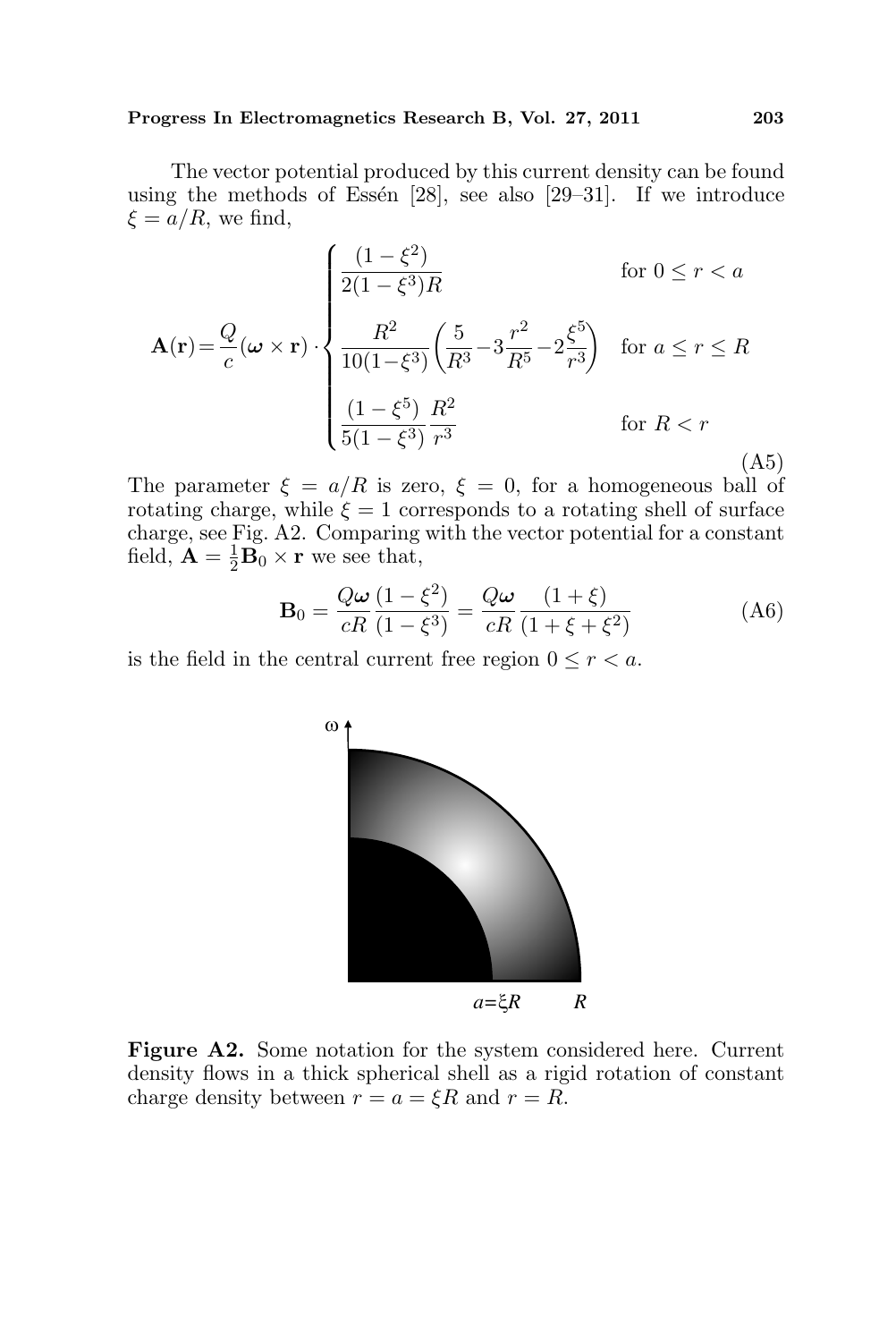The vector potential produced by this current density can be found using the methods of Essén  $[28]$ , see also  $[29-31]$ . If we introduce  $\xi = a/R$ , we find,

$$
\mathbf{A}(\mathbf{r}) = \frac{Q}{c} (\boldsymbol{\omega} \times \mathbf{r}) \cdot \begin{cases} \frac{(1 - \xi^2)}{2(1 - \xi^3)R} & \text{for } 0 \le r < a \\ \frac{R^2}{10(1 - \xi^3)} \left(\frac{5}{R^3} - 3\frac{r^2}{R^5} - 2\frac{\xi^5}{r^3}\right) & \text{for } a \le r \le R \\ \frac{(1 - \xi^5)}{5(1 - \xi^3)} \frac{R^2}{r^3} & \text{for } R < r \end{cases}
$$
(A5)

The parameter  $\xi = a/R$  is zero,  $\xi = 0$ , for a homogeneous ball of rotating charge, while  $\xi = 1$  corresponds to a rotating shell of surface charge, see Fig. A2. Comparing with the vector potential for a constant field,  $\mathbf{A} = \frac{1}{2}\mathbf{B}_0 \times \mathbf{r}$  we see that,

$$
\mathbf{B}_0 = \frac{Q\omega}{cR} \frac{(1 - \xi^2)}{(1 - \xi^3)} = \frac{Q\omega}{cR} \frac{(1 + \xi)}{(1 + \xi + \xi^2)}
$$
(A6)

is the field in the central current free region  $0 \leq r < a$ .



Figure A2. Some notation for the system considered here. Current density flows in a thick spherical shell as a rigid rotation of constant charge density between  $r = a = \xi R$  and  $r = R$ .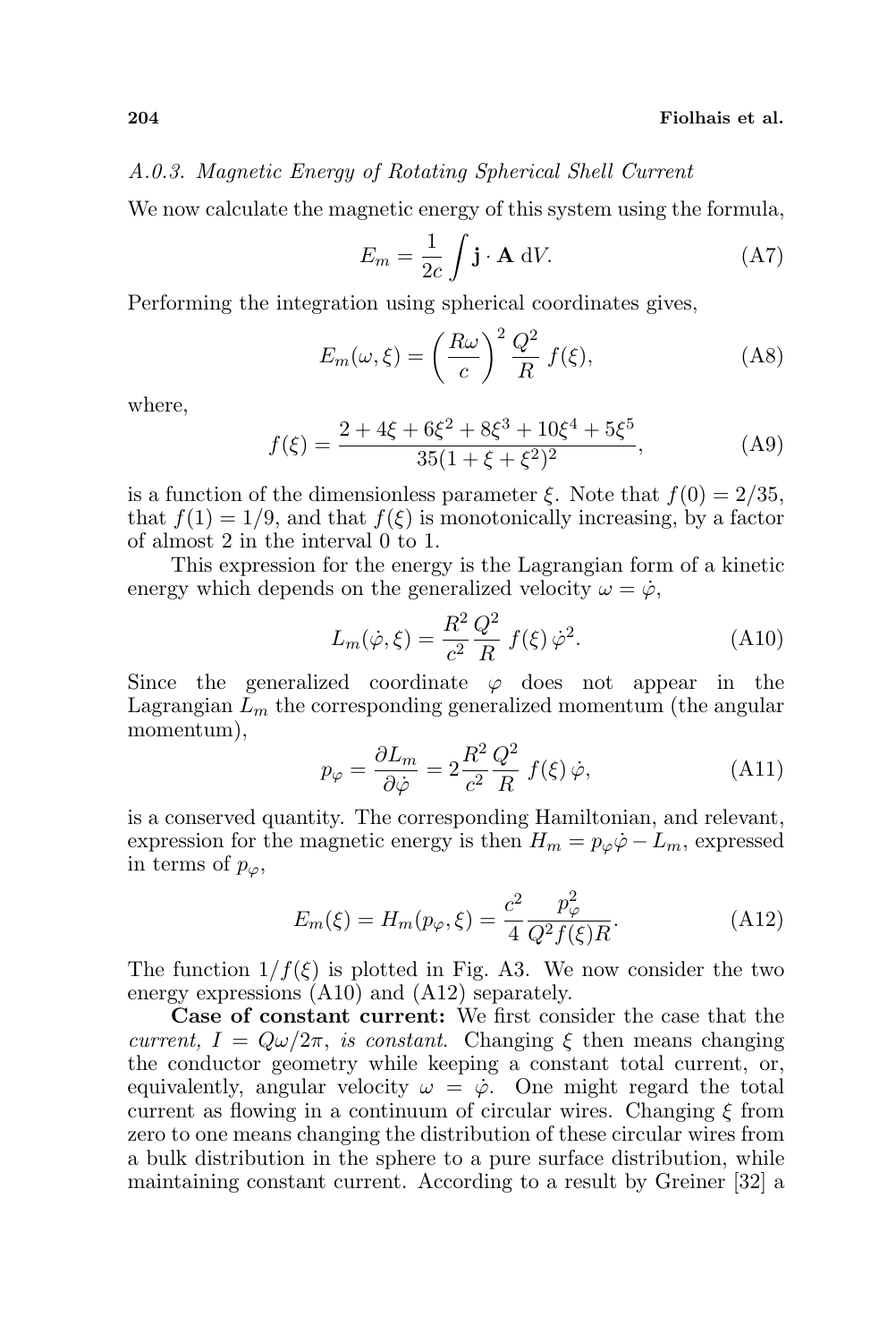### A.0.3. Magnetic Energy of Rotating Spherical Shell Current

We now calculate the magnetic energy of this system using the formula,

$$
E_m = \frac{1}{2c} \int \mathbf{j} \cdot \mathbf{A} \, dV.
$$
 (A7)

Performing the integration using spherical coordinates gives,

$$
E_m(\omega,\xi) = \left(\frac{R\omega}{c}\right)^2 \frac{Q^2}{R} f(\xi),\tag{A8}
$$

where,

$$
f(\xi) = \frac{2 + 4\xi + 6\xi^2 + 8\xi^3 + 10\xi^4 + 5\xi^5}{35(1 + \xi + \xi^2)^2},
$$
 (A9)

is a function of the dimensionless parameter  $\xi$ . Note that  $f(0) = 2/35$ , that  $f(1) = 1/9$ , and that  $f(\xi)$  is monotonically increasing, by a factor of almost 2 in the interval 0 to 1.

This expression for the energy is the Lagrangian form of a kinetic energy which depends on the generalized velocity  $\omega = \dot{\varphi}$ ,

$$
L_m(\dot{\varphi}, \xi) = \frac{R^2}{c^2} \frac{Q^2}{R} f(\xi) \dot{\varphi}^2.
$$
 (A10)

Since the generalized coordinate  $\varphi$  does not appear in the Lagrangian  $L_m$  the corresponding generalized momentum (the angular momentum),

$$
p_{\varphi} = \frac{\partial L_m}{\partial \dot{\varphi}} = 2 \frac{R^2}{c^2} \frac{Q^2}{R} f(\xi) \dot{\varphi}, \tag{A11}
$$

is a conserved quantity. The corresponding Hamiltonian, and relevant, expression for the magnetic energy is then  $H_m = p_\varphi \dot{\varphi} - L_m$ , expressed in terms of  $p_{\varphi}$ ,

$$
E_m(\xi) = H_m(p_\varphi, \xi) = \frac{c^2}{4} \frac{p_\varphi^2}{Q^2 f(\xi) R}.
$$
 (A12)

The function  $1/f(\xi)$  is plotted in Fig. A3. We now consider the two energy expressions (A10) and (A12) separately.

Case of constant current: We first consider the case that the current,  $I = Q\omega/2\pi$ , is constant. Changing  $\xi$  then means changing the conductor geometry while keeping a constant total current, or, equivalently, angular velocity  $\omega = \dot{\varphi}$ . One might regard the total current as flowing in a continuum of circular wires. Changing  $\xi$  from zero to one means changing the distribution of these circular wires from a bulk distribution in the sphere to a pure surface distribution, while maintaining constant current. According to a result by Greiner [32] a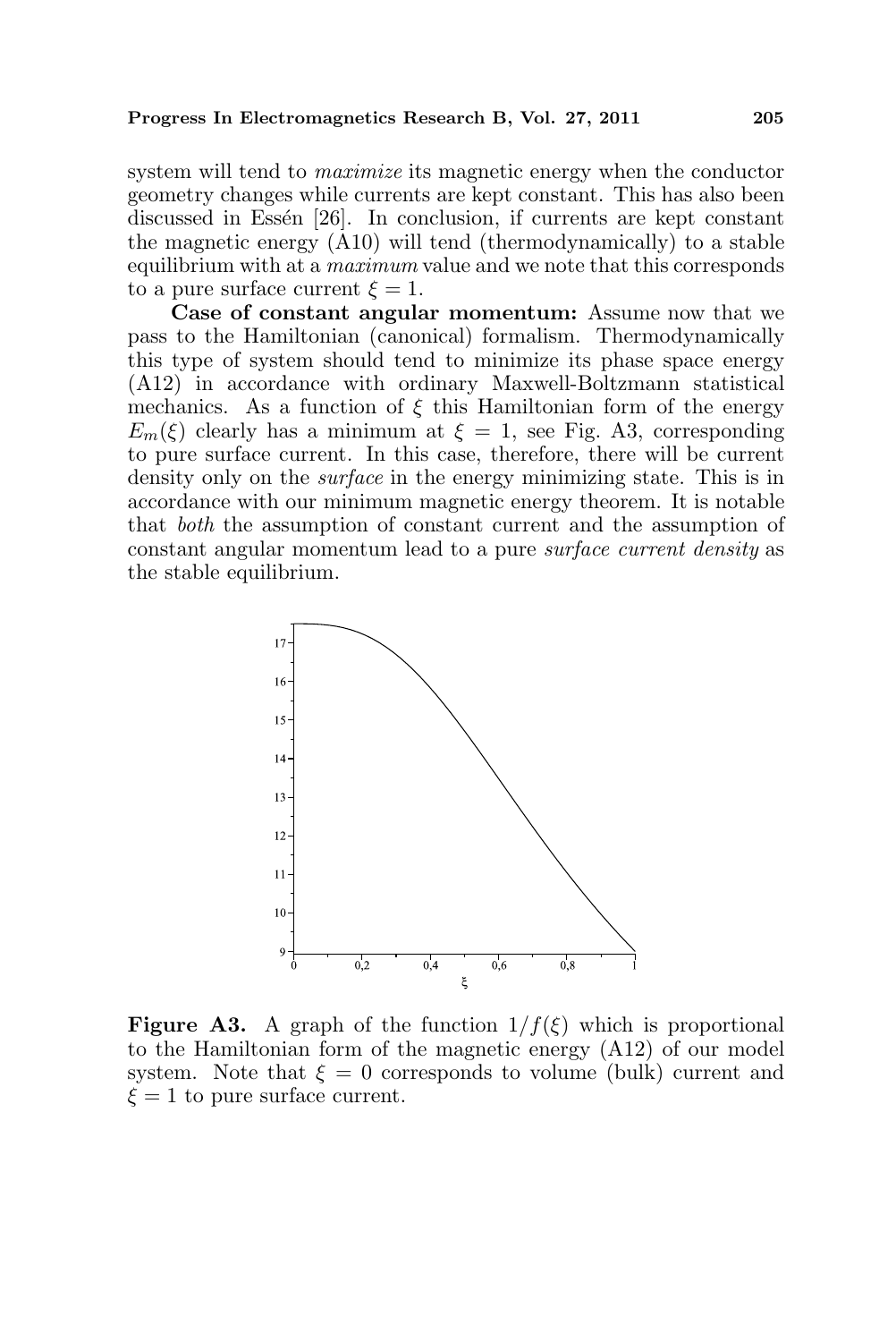system will tend to maximize its magnetic energy when the conductor geometry changes while currents are kept constant. This has also been discussed in Essén [26]. In conclusion, if currents are kept constant the magnetic energy (A10) will tend (thermodynamically) to a stable equilibrium with at a maximum value and we note that this corresponds to a pure surface current  $\xi = 1$ .

Case of constant angular momentum: Assume now that we pass to the Hamiltonian (canonical) formalism. Thermodynamically this type of system should tend to minimize its phase space energy (A12) in accordance with ordinary Maxwell-Boltzmann statistical mechanics. As a function of  $\xi$  this Hamiltonian form of the energy  $E_m(\xi)$  clearly has a minimum at  $\xi = 1$ , see Fig. A3, corresponding to pure surface current. In this case, therefore, there will be current density only on the surface in the energy minimizing state. This is in accordance with our minimum magnetic energy theorem. It is notable that both the assumption of constant current and the assumption of constant angular momentum lead to a pure surface current density as the stable equilibrium.



**Figure A3.** A graph of the function  $1/f(\xi)$  which is proportional to the Hamiltonian form of the magnetic energy (A12) of our model system. Note that  $\xi = 0$  corresponds to volume (bulk) current and  $\xi = 1$  to pure surface current.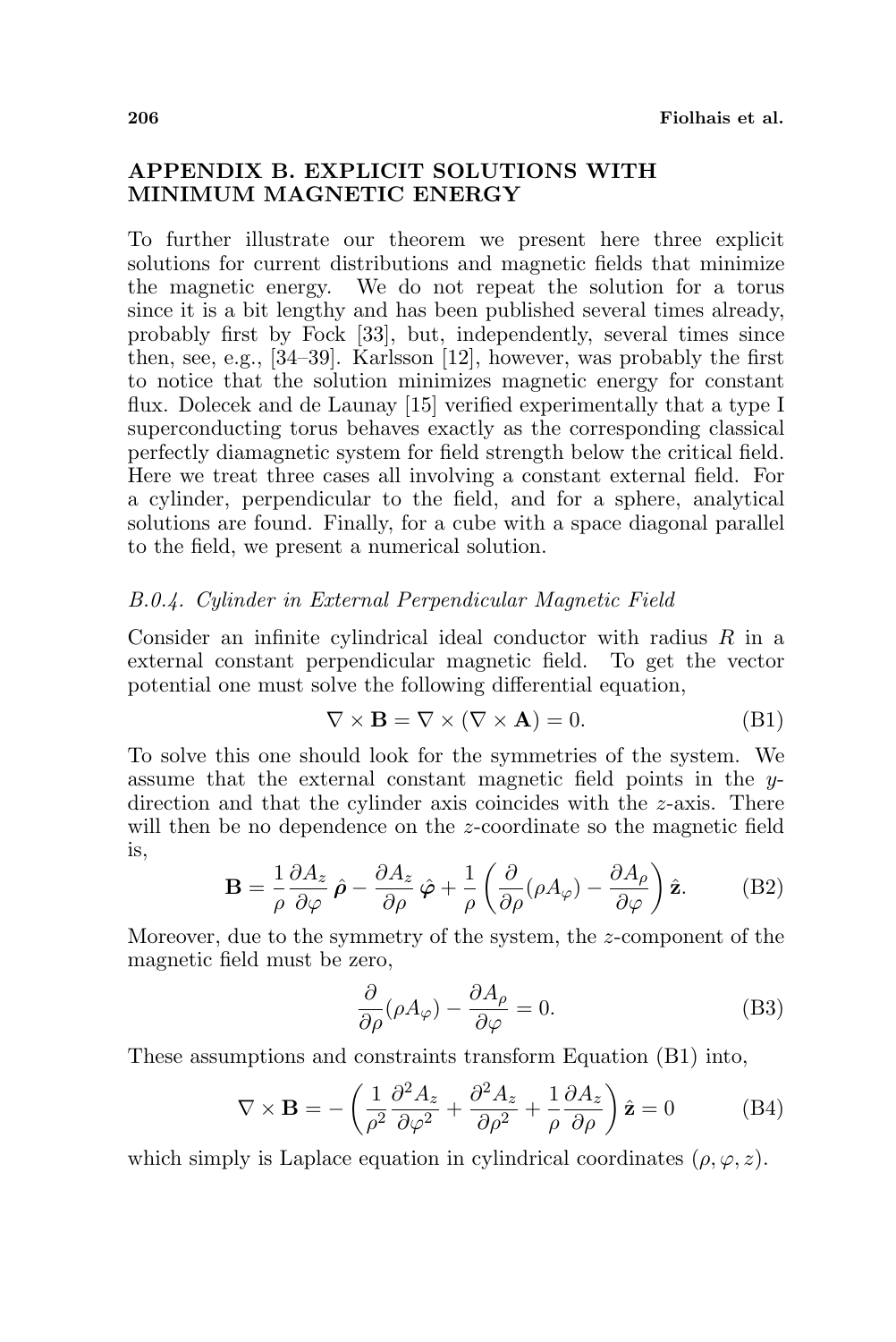## APPENDIX B. EXPLICIT SOLUTIONS WITH MINIMUM MAGNETIC ENERGY

To further illustrate our theorem we present here three explicit solutions for current distributions and magnetic fields that minimize the magnetic energy. We do not repeat the solution for a torus since it is a bit lengthy and has been published several times already, probably first by Fock [33], but, independently, several times since then, see, e.g., [34–39]. Karlsson [12], however, was probably the first to notice that the solution minimizes magnetic energy for constant flux. Dolecek and de Launay [15] verified experimentally that a type I superconducting torus behaves exactly as the corresponding classical perfectly diamagnetic system for field strength below the critical field. Here we treat three cases all involving a constant external field. For a cylinder, perpendicular to the field, and for a sphere, analytical solutions are found. Finally, for a cube with a space diagonal parallel to the field, we present a numerical solution.

## B.0.4. Cylinder in External Perpendicular Magnetic Field

Consider an infinite cylindrical ideal conductor with radius  $R$  in a external constant perpendicular magnetic field. To get the vector potential one must solve the following differential equation,

$$
\nabla \times \mathbf{B} = \nabla \times (\nabla \times \mathbf{A}) = 0.
$$
 (B1)

To solve this one should look for the symmetries of the system. We assume that the external constant magnetic field points in the  $y$ direction and that the cylinder axis coincides with the z-axis. There will then be no dependence on the *z*-coordinate so the magnetic field is,  $\overline{a}$ 

$$
\mathbf{B} = \frac{1}{\rho} \frac{\partial A_z}{\partial \varphi} \hat{\boldsymbol{\rho}} - \frac{\partial A_z}{\partial \rho} \hat{\boldsymbol{\varphi}} + \frac{1}{\rho} \left( \frac{\partial}{\partial \rho} (\rho A_{\varphi}) - \frac{\partial A_{\rho}}{\partial \varphi} \right) \hat{\mathbf{z}}.
$$
 (B2)

Moreover, due to the symmetry of the system, the z-component of the magnetic field must be zero,

$$
\frac{\partial}{\partial \rho}(\rho A_{\varphi}) - \frac{\partial A_{\rho}}{\partial \varphi} = 0.
$$
 (B3)

These assumptions and constraints transform Equation (B1) into,

$$
\nabla \times \mathbf{B} = -\left(\frac{1}{\rho^2} \frac{\partial^2 A_z}{\partial \varphi^2} + \frac{\partial^2 A_z}{\partial \rho^2} + \frac{1}{\rho} \frac{\partial A_z}{\partial \rho}\right) \hat{\mathbf{z}} = 0
$$
 (B4)

which simply is Laplace equation in cylindrical coordinates  $(\rho, \varphi, z)$ .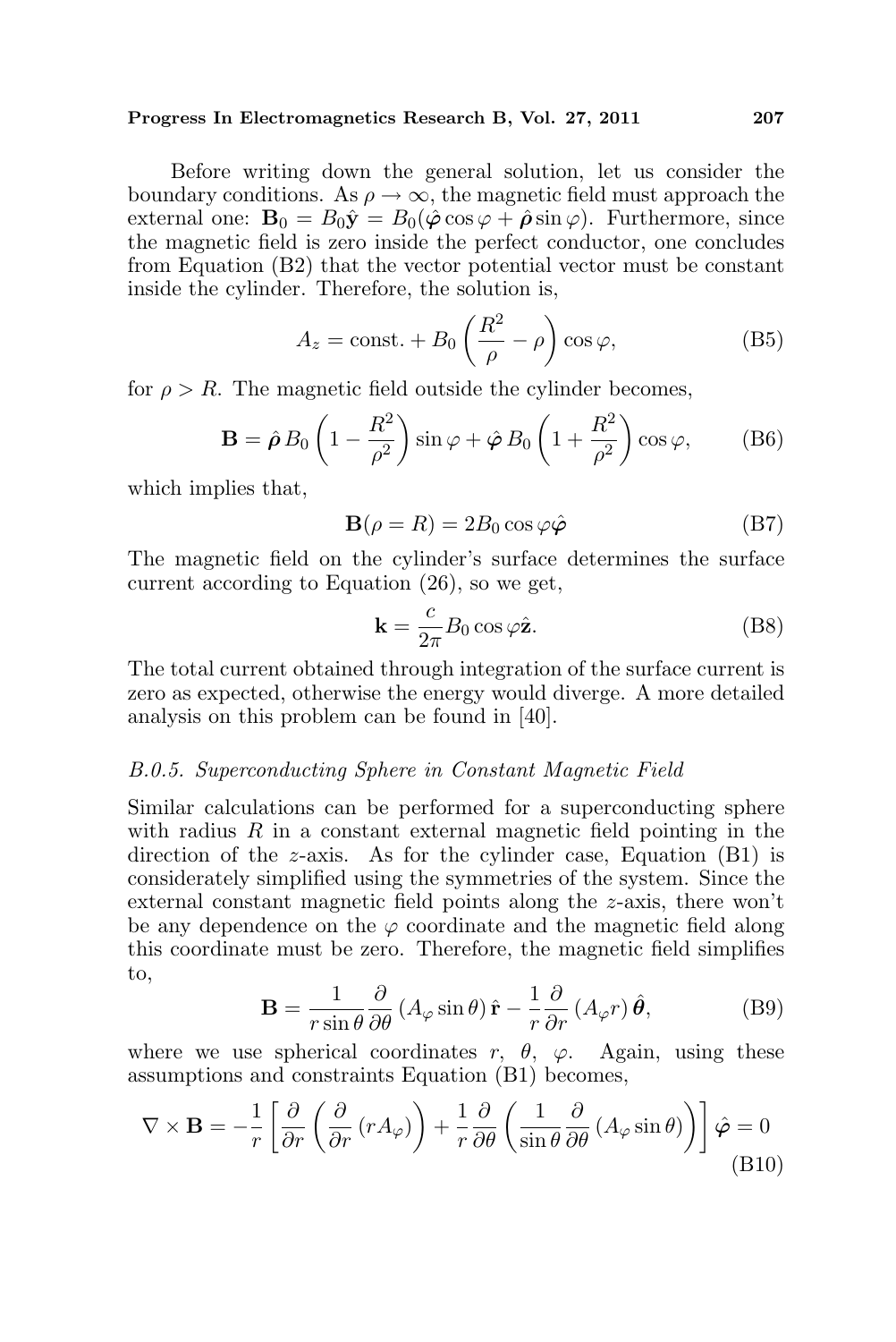#### Progress In Electromagnetics Research B, Vol. 27, 2011 207

Before writing down the general solution, let us consider the boundary conditions. As  $\rho \to \infty$ , the magnetic field must approach the external one:  $\mathbf{B}_0 = B_0 \hat{\mathbf{y}} = B_0 (\hat{\boldsymbol{\varphi}} \cos \varphi + \hat{\boldsymbol{\rho}} \sin \varphi)$ . Furthermore, since the magnetic field is zero inside the perfect conductor, one concludes from Equation (B2) that the vector potential vector must be constant inside the cylinder. Therefore, the solution is,

$$
A_z = \text{const.} + B_0 \left(\frac{R^2}{\rho} - \rho\right) \cos \varphi, \tag{B5}
$$

for  $\rho > R$ . The magnetic field outside the cylinder becomes,

$$
\mathbf{B} = \hat{\boldsymbol{\rho}} B_0 \left( 1 - \frac{R^2}{\rho^2} \right) \sin \varphi + \hat{\boldsymbol{\varphi}} B_0 \left( 1 + \frac{R^2}{\rho^2} \right) \cos \varphi, \quad \text{(B6)}
$$

which implies that,

$$
\mathbf{B}(\rho = R) = 2B_0 \cos \varphi \hat{\boldsymbol{\varphi}} \tag{B7}
$$

The magnetic field on the cylinder's surface determines the surface current according to Equation (26), so we get,

$$
\mathbf{k} = \frac{c}{2\pi} B_0 \cos \varphi \hat{\mathbf{z}}.\tag{B8}
$$

The total current obtained through integration of the surface current is zero as expected, otherwise the energy would diverge. A more detailed analysis on this problem can be found in [40].

### B.0.5. Superconducting Sphere in Constant Magnetic Field

Similar calculations can be performed for a superconducting sphere with radius  $R$  in a constant external magnetic field pointing in the direction of the z-axis. As for the cylinder case, Equation (B1) is considerately simplified using the symmetries of the system. Since the external constant magnetic field points along the z-axis, there won't be any dependence on the  $\varphi$  coordinate and the magnetic field along this coordinate must be zero. Therefore, the magnetic field simplifies to,

$$
\mathbf{B} = \frac{1}{r \sin \theta} \frac{\partial}{\partial \theta} \left( A_{\varphi} \sin \theta \right) \hat{\mathbf{r}} - \frac{1}{r} \frac{\partial}{\partial r} \left( A_{\varphi} r \right) \hat{\theta},\tag{B9}
$$

where we use spherical coordinates r,  $\theta$ ,  $\varphi$ . Again, using these assumptions and constraints Equation (B1) becomes,

$$
\nabla \times \mathbf{B} = -\frac{1}{r} \left[ \frac{\partial}{\partial r} \left( \frac{\partial}{\partial r} \left( r A_{\varphi} \right) \right) + \frac{1}{r} \frac{\partial}{\partial \theta} \left( \frac{1}{\sin \theta} \frac{\partial}{\partial \theta} \left( A_{\varphi} \sin \theta \right) \right) \right] \hat{\varphi} = 0
$$
\n(B10)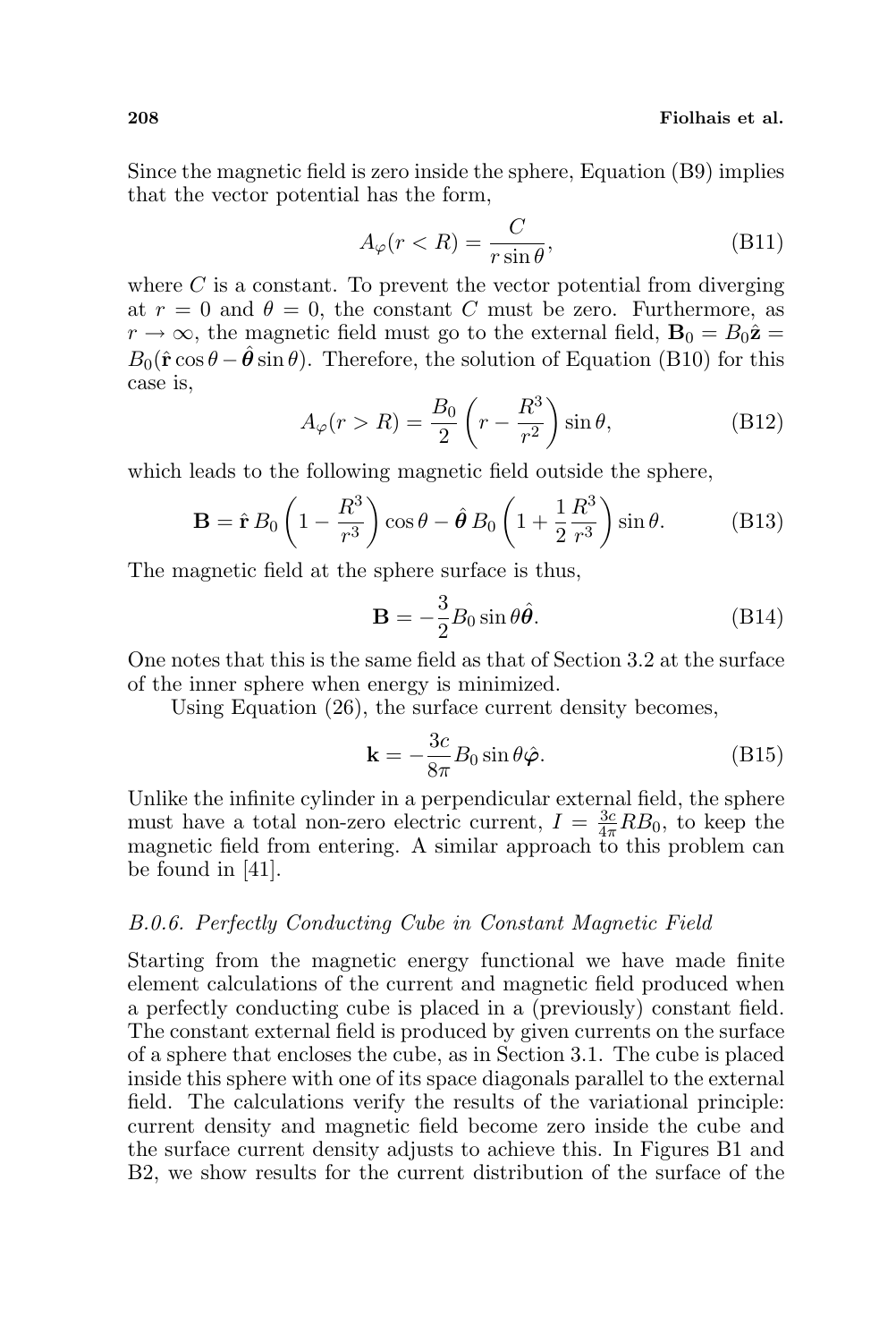Since the magnetic field is zero inside the sphere, Equation (B9) implies that the vector potential has the form,

$$
A_{\varphi}(r < R) = \frac{C}{r \sin \theta},
$$
 (B11)

where  $C$  is a constant. To prevent the vector potential from diverging at  $r = 0$  and  $\theta = 0$ , the constant C must be zero. Furthermore, as  $r \to \infty$ , the magnetic field must go to the external field,  $\mathbf{B}_0 = B_0 \hat{\mathbf{z}} =$  $B_0(\hat{\mathbf{r}}\cos\theta - \boldsymbol{\theta}\sin\theta)$ . Therefore, the solution of Equation (B10) for this case is,  $\overline{a}$  $\mathbf{r}$ 

$$
A_{\varphi}(r > R) = \frac{B_0}{2} \left( r - \frac{R^3}{r^2} \right) \sin \theta, \tag{B12}
$$

which leads to the following magnetic field outside the sphere,

$$
\mathbf{B} = \hat{\mathbf{r}} B_0 \left( 1 - \frac{R^3}{r^3} \right) \cos \theta - \hat{\boldsymbol{\theta}} B_0 \left( 1 + \frac{1}{2} \frac{R^3}{r^3} \right) \sin \theta.
$$
 (B13)

The magnetic field at the sphere surface is thus,

$$
\mathbf{B} = -\frac{3}{2}B_0 \sin \theta \hat{\boldsymbol{\theta}}.
$$
 (B14)

One notes that this is the same field as that of Section 3.2 at the surface of the inner sphere when energy is minimized.

Using Equation (26), the surface current density becomes,

$$
\mathbf{k} = -\frac{3c}{8\pi} B_0 \sin \theta \hat{\boldsymbol{\varphi}}.\tag{B15}
$$

Unlike the infinite cylinder in a perpendicular external field, the sphere must have a total non-zero electric current,  $I = \frac{3c}{4\pi} R B_0$ , to keep the magnetic field from entering. A similar approach to this problem can be found in [41].

#### B.0.6. Perfectly Conducting Cube in Constant Magnetic Field

Starting from the magnetic energy functional we have made finite element calculations of the current and magnetic field produced when a perfectly conducting cube is placed in a (previously) constant field. The constant external field is produced by given currents on the surface of a sphere that encloses the cube, as in Section 3.1. The cube is placed inside this sphere with one of its space diagonals parallel to the external field. The calculations verify the results of the variational principle: current density and magnetic field become zero inside the cube and the surface current density adjusts to achieve this. In Figures B1 and B2, we show results for the current distribution of the surface of the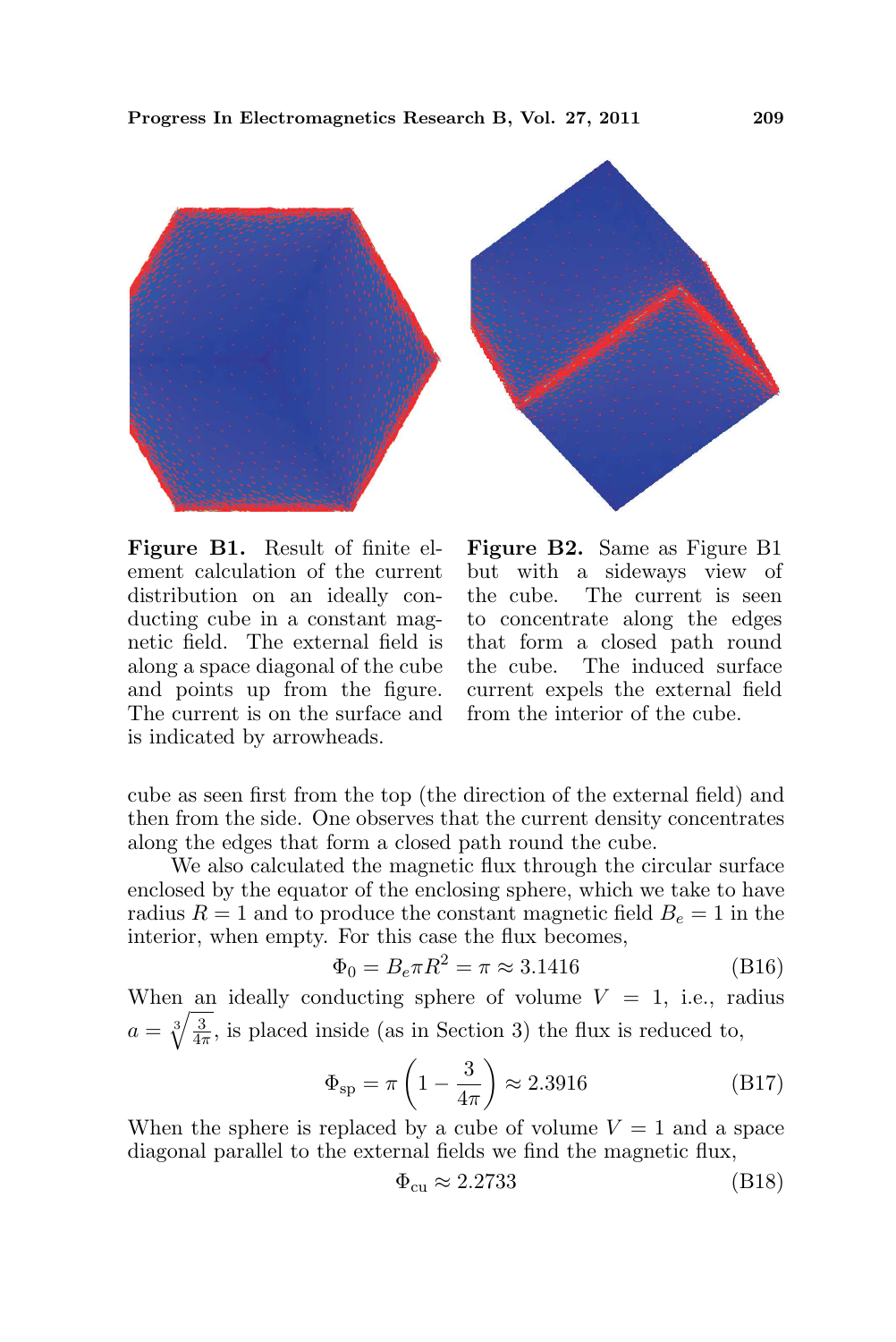

Figure B1. Result of finite element calculation of the current distribution on an ideally conducting cube in a constant magnetic field. The external field is along a space diagonal of the cube and points up from the figure. The current is on the surface and is indicated by arrowheads.

Figure B2. Same as Figure B1 but with a sideways view of the cube. The current is seen to concentrate along the edges that form a closed path round the cube. The induced surface current expels the external field from the interior of the cube.

cube as seen first from the top (the direction of the external field) and then from the side. One observes that the current density concentrates along the edges that form a closed path round the cube.

We also calculated the magnetic flux through the circular surface enclosed by the equator of the enclosing sphere, which we take to have radius  $R = 1$  and to produce the constant magnetic field  $B_e = 1$  in the interior, when empty. For this case the flux becomes,

$$
\Phi_0 = B_e \pi R^2 = \pi \approx 3.1416 \tag{B16}
$$

When an ideally conducting sphere of volume  $V = 1$ , i.e., radius  $a = \sqrt[3]{\frac{3}{4a}}$  $\frac{3}{4\pi}$ , is placed inside (as in Section 3) the flux is reduced to,  $\sqrt{2}$ 

$$
\Phi_{\rm sp} = \pi \left( 1 - \frac{3}{4\pi} \right) \approx 2.3916 \tag{B17}
$$

When the sphere is replaced by a cube of volume  $V = 1$  and a space diagonal parallel to the external fields we find the magnetic flux,

$$
\Phi_{\rm cu} \approx 2.2733\tag{B18}
$$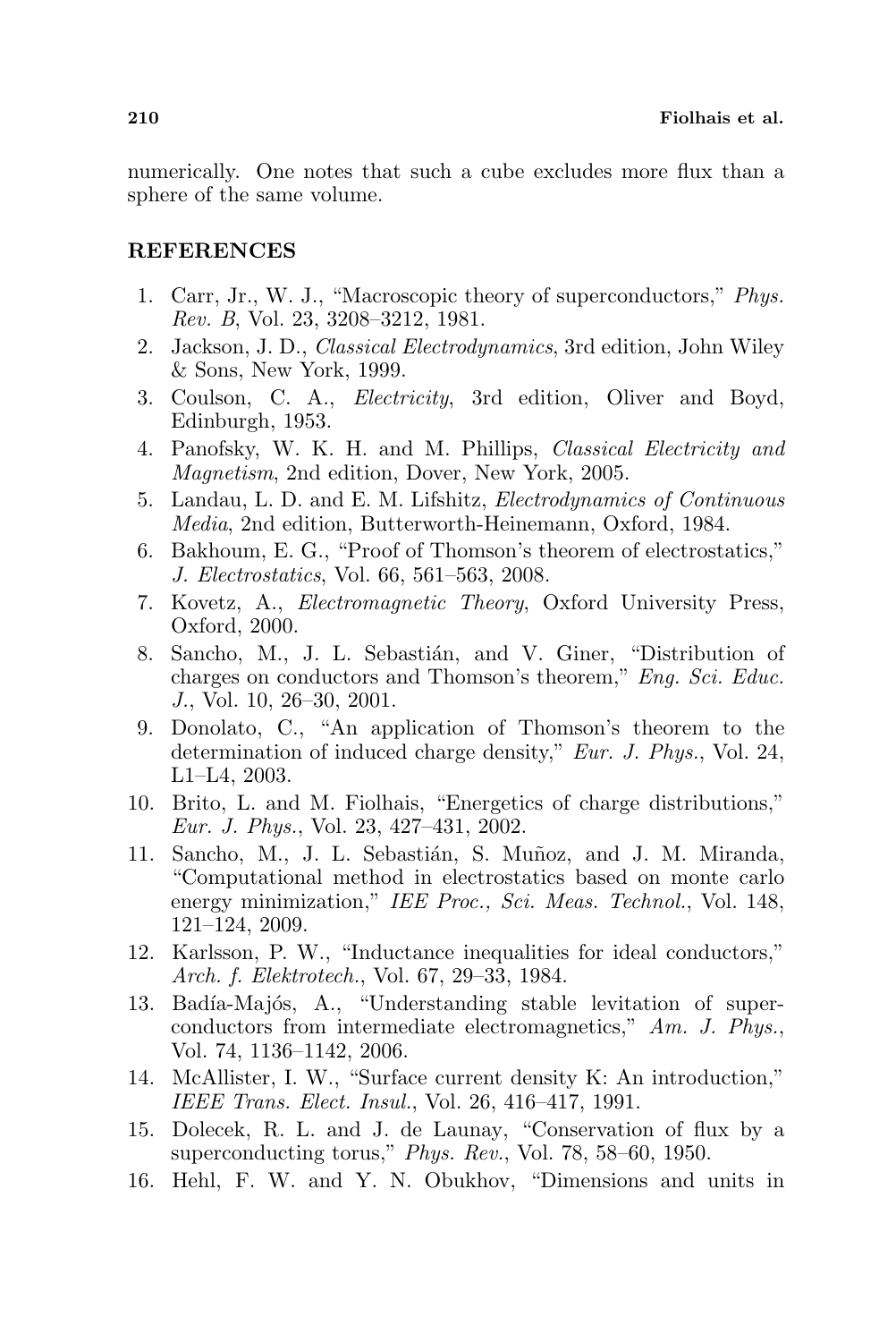numerically. One notes that such a cube excludes more flux than a sphere of the same volume.

#### REFERENCES

- 1. Carr, Jr., W. J., "Macroscopic theory of superconductors," Phys. Rev. B, Vol. 23, 3208–3212, 1981.
- 2. Jackson, J. D., *Classical Electrodynamics*, 3rd edition, John Wiley & Sons, New York, 1999.
- 3. Coulson, C. A., Electricity, 3rd edition, Oliver and Boyd, Edinburgh, 1953.
- 4. Panofsky, W. K. H. and M. Phillips, Classical Electricity and Magnetism, 2nd edition, Dover, New York, 2005.
- 5. Landau, L. D. and E. M. Lifshitz, Electrodynamics of Continuous Media, 2nd edition, Butterworth-Heinemann, Oxford, 1984.
- 6. Bakhoum, E. G., "Proof of Thomson's theorem of electrostatics," J. Electrostatics, Vol. 66, 561–563, 2008.
- 7. Kovetz, A., Electromagnetic Theory, Oxford University Press, Oxford, 2000.
- 8. Sancho, M., J. L. Sebastián, and V. Giner, "Distribution of charges on conductors and Thomson's theorem," Eng. Sci. Educ. J., Vol. 10, 26–30, 2001.
- 9. Donolato, C., "An application of Thomson's theorem to the determination of induced charge density," Eur. J. Phys., Vol. 24, L1–L4, 2003.
- 10. Brito, L. and M. Fiolhais, "Energetics of charge distributions," Eur. J. Phys., Vol. 23, 427–431, 2002.
- 11. Sancho, M., J. L. Sebastián, S. Muñoz, and J. M. Miranda, "Computational method in electrostatics based on monte carlo energy minimization," IEE Proc., Sci. Meas. Technol., Vol. 148, 121–124, 2009.
- 12. Karlsson, P. W., "Inductance inequalities for ideal conductors," Arch. f. Elektrotech., Vol. 67, 29–33, 1984.
- 13. Badía-Majós, A., "Understanding stable levitation of superconductors from intermediate electromagnetics," Am. J. Phys., Vol. 74, 1136–1142, 2006.
- 14. McAllister, I. W., "Surface current density K: An introduction," IEEE Trans. Elect. Insul., Vol. 26, 416–417, 1991.
- 15. Dolecek, R. L. and J. de Launay, "Conservation of flux by a superconducting torus," Phys. Rev., Vol. 78, 58–60, 1950.
- 16. Hehl, F. W. and Y. N. Obukhov, "Dimensions and units in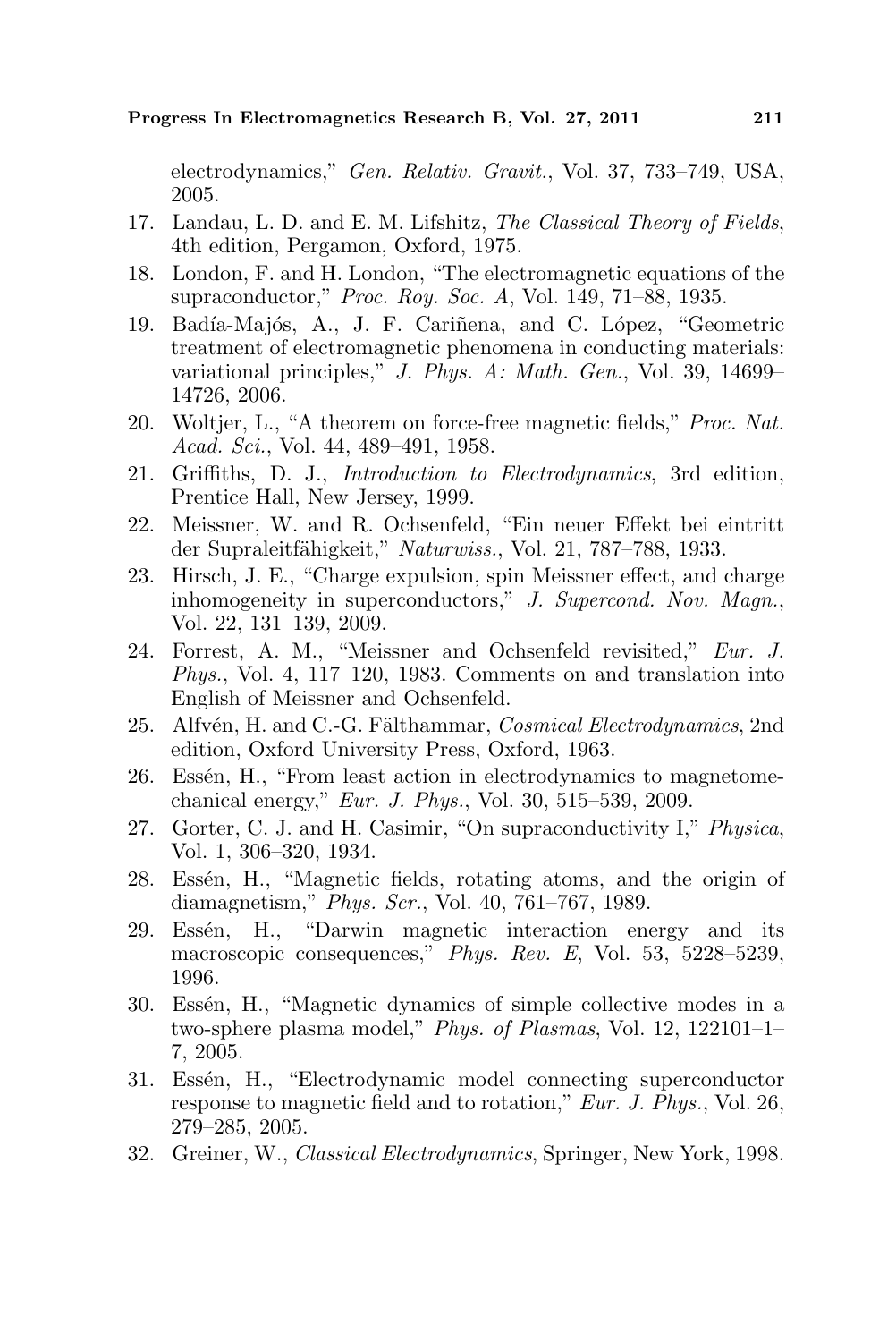electrodynamics," Gen. Relativ. Gravit., Vol. 37, 733–749, USA, 2005.

- 17. Landau, L. D. and E. M. Lifshitz, The Classical Theory of Fields, 4th edition, Pergamon, Oxford, 1975.
- 18. London, F. and H. London, "The electromagnetic equations of the supraconductor," Proc. Roy. Soc. A, Vol. 149, 71–88, 1935.
- 19. Badía-Majós, A., J. F. Cariñena, and C. López, "Geometric treatment of electromagnetic phenomena in conducting materials: variational principles," J. Phys. A: Math. Gen., Vol. 39, 14699– 14726, 2006.
- 20. Woltjer, L., "A theorem on force-free magnetic fields," Proc. Nat. Acad. Sci., Vol. 44, 489–491, 1958.
- 21. Griffiths, D. J., Introduction to Electrodynamics, 3rd edition, Prentice Hall, New Jersey, 1999.
- 22. Meissner, W. and R. Ochsenfeld, "Ein neuer Effekt bei eintritt der Supraleitfähigkeit," Naturwiss., Vol. 21, 787–788, 1933.
- 23. Hirsch, J. E., "Charge expulsion, spin Meissner effect, and charge inhomogeneity in superconductors," J. Supercond. Nov. Magn., Vol. 22, 131–139, 2009.
- 24. Forrest, A. M., "Meissner and Ochsenfeld revisited," Eur. J. Phys., Vol. 4, 117–120, 1983. Comments on and translation into English of Meissner and Ochsenfeld.
- 25. Alfvén, H. and C.-G. Fälthammar, Cosmical Electrodynamics, 2nd edition, Oxford University Press, Oxford, 1963.
- 26. Essén, H., "From least action in electrodynamics to magnetomechanical energy," Eur. J. Phys., Vol. 30, 515–539, 2009.
- 27. Gorter, C. J. and H. Casimir, "On supraconductivity I," Physica, Vol. 1, 306–320, 1934.
- 28. Essén, H., "Magnetic fields, rotating atoms, and the origin of diamagnetism," Phys. Scr., Vol. 40, 761–767, 1989.
- 29. Essén, H., "Darwin magnetic interaction energy and its macroscopic consequences," Phys. Rev. E, Vol. 53, 5228–5239, 1996.
- 30. Essén, H., "Magnetic dynamics of simple collective modes in a two-sphere plasma model," Phys. of Plasmas, Vol. 12, 122101–1– 7, 2005.
- 31. Essén, H., "Electrodynamic model connecting superconductor" response to magnetic field and to rotation," Eur. J. Phys., Vol. 26, 279–285, 2005.
- 32. Greiner, W., Classical Electrodynamics, Springer, New York, 1998.